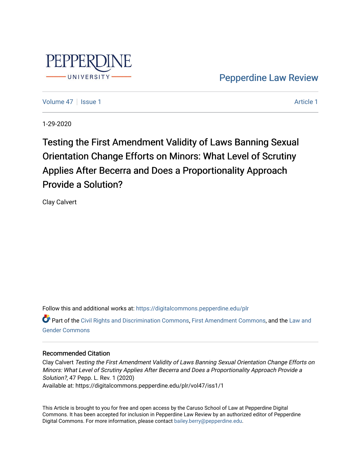

[Pepperdine Law Review](https://digitalcommons.pepperdine.edu/plr) 

[Volume 47](https://digitalcommons.pepperdine.edu/plr/vol47) | [Issue 1](https://digitalcommons.pepperdine.edu/plr/vol47/iss1) [Article 1](https://digitalcommons.pepperdine.edu/plr/vol47/iss1/1) Article 1 Article 1 Article 1 Article 1 Article 1 Article 1

1-29-2020

Testing the First Amendment Validity of Laws Banning Sexual Orientation Change Efforts on Minors: What Level of Scrutiny Applies After Becerra and Does a Proportionality Approach Provide a Solution?

Clay Calvert

Follow this and additional works at: [https://digitalcommons.pepperdine.edu/plr](https://digitalcommons.pepperdine.edu/plr?utm_source=digitalcommons.pepperdine.edu%2Fplr%2Fvol47%2Fiss1%2F1&utm_medium=PDF&utm_campaign=PDFCoverPages)

Part of the [Civil Rights and Discrimination Commons,](http://network.bepress.com/hgg/discipline/585?utm_source=digitalcommons.pepperdine.edu%2Fplr%2Fvol47%2Fiss1%2F1&utm_medium=PDF&utm_campaign=PDFCoverPages) [First Amendment Commons,](http://network.bepress.com/hgg/discipline/1115?utm_source=digitalcommons.pepperdine.edu%2Fplr%2Fvol47%2Fiss1%2F1&utm_medium=PDF&utm_campaign=PDFCoverPages) and the [Law and](http://network.bepress.com/hgg/discipline/1298?utm_source=digitalcommons.pepperdine.edu%2Fplr%2Fvol47%2Fiss1%2F1&utm_medium=PDF&utm_campaign=PDFCoverPages) [Gender Commons](http://network.bepress.com/hgg/discipline/1298?utm_source=digitalcommons.pepperdine.edu%2Fplr%2Fvol47%2Fiss1%2F1&utm_medium=PDF&utm_campaign=PDFCoverPages) 

## Recommended Citation

Clay Calvert Testing the First Amendment Validity of Laws Banning Sexual Orientation Change Efforts on Minors: What Level of Scrutiny Applies After Becerra and Does a Proportionality Approach Provide a Solution?, 47 Pepp. L. Rev. 1 (2020) Available at: https://digitalcommons.pepperdine.edu/plr/vol47/iss1/1

This Article is brought to you for free and open access by the Caruso School of Law at Pepperdine Digital Commons. It has been accepted for inclusion in Pepperdine Law Review by an authorized editor of Pepperdine Digital Commons. For more information, please contact [bailey.berry@pepperdine.edu.](mailto:bailey.berry@pepperdine.edu)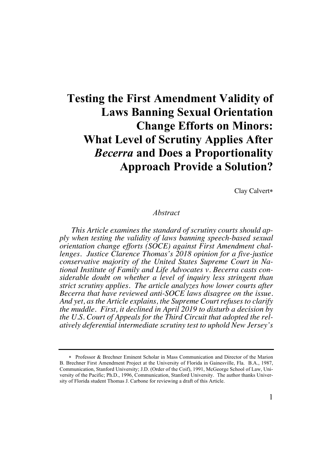# **Testing the First Amendment Validity of Laws Banning Sexual Orientation Change Efforts on Minors: What Level of Scrutiny Applies After** *Becerra* **and Does a Proportionality Approach Provide a Solution?**

Clay Calvert\*

## *Abstract*

*This Article examines the standard of scrutiny courts should apply when testing the validity of laws banning speech-based sexual orientation change efforts (SOCE) against First Amendment challenges. Justice Clarence Thomas's 2018 opinion for a five-justice conservative majority of the United States Supreme Court in National Institute of Family and Life Advocates v. Becerra casts considerable doubt on whether a level of inquiry less stringent than strict scrutiny applies. The article analyzes how lower courts after Becerra that have reviewed anti-SOCE laws disagree on the issue. And yet, as the Article explains, the Supreme Court refuses to clarify the muddle. First, it declined in April 2019 to disturb a decision by the U.S. Court of Appeals for the Third Circuit that adopted the relatively deferential intermediate scrutiny test to uphold New Jersey's* 

<sup>\*</sup> Professor & Brechner Eminent Scholar in Mass Communication and Director of the Marion B. Brechner First Amendment Project at the University of Florida in Gainesville, Fla. B.A., 1987, Communication, Stanford University; J.D. (Order of the Coif), 1991, McGeorge School of Law, University of the Pacific; Ph.D., 1996, Communication, Stanford University. The author thanks University of Florida student Thomas J. Carbone for reviewing a draft of this Article.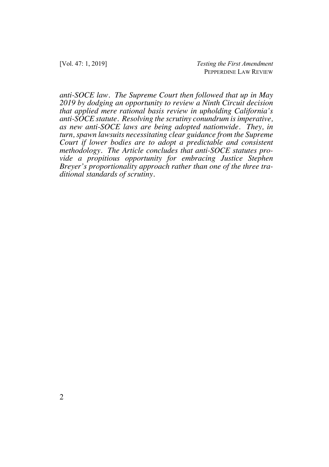*anti-SOCE law. The Supreme Court then followed that up in May 2019 by dodging an opportunity to review a Ninth Circuit decision that applied mere rational basis review in upholding California's anti-SOCE statute. Resolving the scrutiny conundrum is imperative, as new anti-SOCE laws are being adopted nationwide. They, in turn, spawn lawsuits necessitating clear guidance from the Supreme Court if lower bodies are to adopt a predictable and consistent methodology. The Article concludes that anti-SOCE statutes provide a propitious opportunity for embracing Justice Stephen Breyer's proportionality approach rather than one of the three traditional standards of scrutiny.*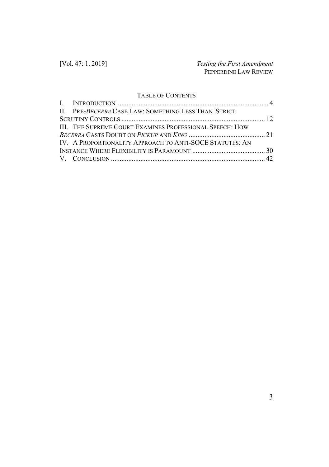## TABLE OF CONTENTS

| II. PRE-BECERRA CASE LAW: SOMETHING LESS THAN STRICT            |  |
|-----------------------------------------------------------------|--|
|                                                                 |  |
| <b>III. THE SUPREME COURT EXAMINES PROFESSIONAL SPEECH: HOW</b> |  |
|                                                                 |  |
| IV. A PROPORTIONALITY APPROACH TO ANTI-SOCE STATUTES: AN        |  |
|                                                                 |  |
|                                                                 |  |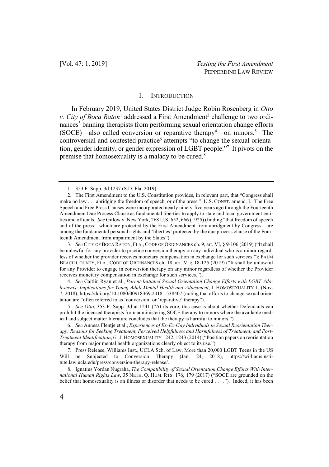#### I. INTRODUCTION

In February 2019, United States District Judge Robin Rosenberg in *Otto v. City of Boca Raton*<sup>1</sup> addressed a First Amendment<sup>2</sup> challenge to two ordinances<sup>3</sup> banning therapists from performing sexual orientation change efforts  $(SOCE)$ —also called conversion or reparative therapy<sup>4</sup>—on minors.<sup>5</sup> The controversial and contested practice<sup>6</sup> attempts "to change the sexual orientation, gender identity, or gender expression of LGBT people."7 It pivots on the premise that homosexuality is a malady to be cured.8

3. *See* CITY OF BOCA RATON, FLA., CODE OF ORDINANCES ch. 9, art. VI, § 9-106 (2019) ("It shall be unlawful for any provider to practice conversion therapy on any individual who is a minor regardless of whether the provider receives monetary compensation in exchange for such services."); PALM BEACH COUNTY, FLA., CODE OF ORDINANCES ch. 18, art. V, § 18-125 (2019) ("It shall be unlawful for any Provider to engage in conversion therapy on any minor regardless of whether the Provider receives monetary compensation in exchange for such services.").

4. *See* Caitlin Ryan et al., *Parent-Initiated Sexual Orientation Change Efforts with LGBT Adolescents: Implications for Young Adult Mental Health and Adjustment*, J. HOMOSEXUALITY 1, (Nov. 7, 2018), https://doi.org/10.1080/00918369.2018.1538407 (noting that efforts to change sexual orientation are "often referred to as 'conversion' or 'reparative' therapy").

5. *See Otto*, 353 F. Supp. 3d at 1241 ("At its core, this case is about whether Defendants can prohibit the licensed therapists from administering SOCE therapy to minors where the available medical and subject matter literature concludes that the therapy is harmful to minors.").

6. *See* Annesa Flentje et al., *Experiences of Ex-Ex-Gay Individuals in Sexual Reorientation Therapy: Reasons for Seeking Treatment, Perceived Helpfulness and Harmfulness of Treatment, and Post-Treatment Identification*, 61 J. HOMOSEXUALITY 1242, 1243 (2014) ("Position papers on reorientation therapy from major mental health organizations clearly object to its use.").

7. Press Release, Williams Inst., UCLA Sch. of Law, More than 20,000 LGBT Teens in the US Will be Subjected to Conversion Therapy (Jan. 24, 2018), https://williamsinstitute.law.ucla.edu/press/conversion-therapy-release/.

8. Ignatius Yordan Nugraha, *The Compatibility of Sexual Orientation Change Efforts With International Human Rights Law*, 35 NETH. Q. HUM. RTS. 176, 179 (2017) ("SOCE are grounded on the belief that homosexuality is an illness or disorder that needs to be cured . . . ."). Indeed, it has been

<sup>1.</sup> 353 F. Supp. 3d 1237 (S.D. Fla. 2019).

<sup>2.</sup> The First Amendment to the U.S. Constitution provides, in relevant part, that "Congress shall make no law . . . abridging the freedom of speech, or of the press." U.S. CONST. amend. I. The Free Speech and Free Press Clauses were incorporated nearly ninety-five years ago through the Fourteenth Amendment Due Process Clause as fundamental liberties to apply to state and local government entities and officials. *See* Gitlow v. New York, 268 U.S. 652, 666 (1925) (finding "that freedom of speech and of the press—which are protected by the First Amendment from abridgment by Congress—are among the fundamental personal rights and 'liberties' protected by the due process clause of the Fourteenth Amendment from impairment by the States").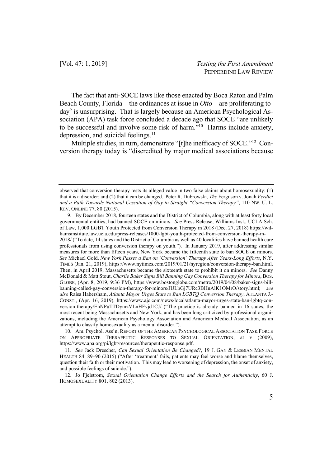The fact that anti-SOCE laws like those enacted by Boca Raton and Palm Beach County, Florida—the ordinances at issue in *Otto*—are proliferating today9 is unsurprising. That is largely because an American Psychological Association (APA) task force concluded a decade ago that SOCE "are unlikely to be successful and involve some risk of harm."10 Harms include anxiety, depression, and suicidal feelings.<sup>11</sup>

Multiple studies, in turn, demonstrate "[t]he inefficacy of SOCE."12 Conversion therapy today is "discredited by major medical associations because

10. Am. Psychol. Ass'n, REPORT OF THE AMERICAN PSYCHOLOGICAL ASSOCIATION TASK FORCE ON APPROPRIATE THERAPEUTIC RESPONSES TO SEXUAL ORIENTATION, at v (2009), https://www.apa.org/pi/lgbt/resources/therapeutic-response.pdf.

11. *See* Jack Drescher, *Can Sexual Orientation Be Changed*?, 19 J. GAY & LESBIAN MENTAL HEALTH 84, 89–90 (2015) ("After 'treatment' fails, patients may feel worse and blame themselves, question their faith or their motivation. This may lead to worsening of depression, the onset of anxiety, and possible feelings of suicide.").

12. Jo Fjelstrom, *Sexual Orientation Change Efforts and the Search for Authenticity*, 60 J. HOMOSEXUALITY 801, 802 (2013).

observed that conversion therapy rests its alleged value in two false claims about homosexuality: (1) that it is a disorder; and (2) that it can be changed. Peter R. Dubrowski, *The* Ferguson v. Jonah *Verdict and a Path Towards National Cessation of Gay-to-Straight "Conversion Therapy"*, 110 NW. U. L. REV. ONLINE 77, 80 (2015).

<sup>9.</sup> By December 2018, fourteen states and the District of Columbia, along with at least forty local governmental entities, had banned SOCE on minors. *See* Press Release, Williams Inst., UCLA Sch. of Law, 1,000 LGBT Youth Protected from Conversion Therapy in 2018 (Dec. 27, 2018) https://williamsinstitute.law.ucla.edu/press-releases/1000-lgbt-youth-protected-from-conversion-therapy-in-2018/ ("To date, 14 states and the District of Columbia as well as 40 localities have banned health care professionals from using conversion therapy on youth."). In January 2019, after addressing similar measures for more than fifteen years, New York became the fifteenth state to ban SOCE on minors. *See* Michael Gold, *New York Passes a Ban on 'Conversion' Therapy After Years-Long Efforts*, N.Y. TIMES (Jan. 21, 2019), https://www.nytimes.com/2019/01/21/nyregion/conversion-therapy-ban.html. Then, in April 2019, Massachusetts became the sixteenth state to prohibit it on minors. *See* Danny McDonald & Matt Stout, *Charlie Baker Signs Bill Banning Gay Conversion Therapy for Minors*, BOS. GLOBE, (Apr. 8, 2019, 9:36 PM), https://www.bostonglobe.com/metro/2019/04/08/baker-signs-billbanning-called-gay-conversion-therapy-for-minors/JULbGj7URc3BHnAlK1OMrO/story.html; *see also* Raisa Habersham, *Atlanta Mayor Urges State to Ban LGBTQ Conversion Therapy*, ATLANTA J.- CONST., (Apr. 16, 2019), https://www.ajc.com/news/local/atlanta-mayor-urges-state-ban-lgbtq-conversion-therapy/EhNPuTTDymzVLnHFvjd1CJ/ ("The practice is already banned in 16 states, the most recent being Massachusetts and New York, and has been long criticized by professional organizations, including the American Psychology Association and American Medical Association, as an attempt to classify homosexuality as a mental disorder.").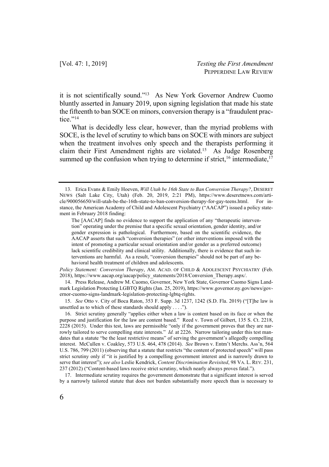it is not scientifically sound."13 As New York Governor Andrew Cuomo bluntly asserted in January 2019, upon signing legislation that made his state the fifteenth to ban SOCE on minors, conversion therapy is a "fraudulent practice."<sup>14</sup>

What is decidedly less clear, however, than the myriad problems with SOCE, is the level of scrutiny to which bans on SOCE with minors are subject when the treatment involves only speech and the therapists performing it claim their First Amendment rights are violated.15 As Judge Rosenberg summed up the confusion when trying to determine if strict,  $16$  intermediate,  $17$ 

*Policy Statement: Conversion Therapy*, AM. ACAD. OF CHILD & ADOLESCENT PSYCHIATRY (Feb. 2018), https://www.aacap.org/aacap/policy\_statements/2018/Conversion\_Therapy.aspx/.

14. Press Release, Andrew M. Cuomo, Governor, New York State, Governor Cuomo Signs Landmark Legislation Protecting LGBTQ Rights (Jan. 25, 2019), https://www.governor.ny.gov/news/governor-cuomo-signs-landmark-legislation-protecting-lgbtq-rights.

15. *See* Otto v. City of Boca Raton, 353 F. Supp. 3d 1237, 1242 (S.D. Fla. 2019) ("[T]he law is unsettled as to which of these standards should apply . . . .").

16. Strict scrutiny generally "applies either when a law is content based on its face or when the purpose and justification for the law are content based." Reed v. Town of Gilbert, 135 S. Ct. 2218, 2228 (2015). Under this test, laws are permissible "only if the government proves that they are narrowly tailored to serve compelling state interests." *Id.* at 2226. Narrow tailoring under this test mandates that a statute "be the least restrictive means" of serving the government's allegedly compelling interest. McCullen v. Coakley, 573 U.S. 464, 478 (2014). *See* Brown v. Entm't Merchs. Ass'n, 564 U.S. 786, 799 (2011) (observing that a statute that restricts "the content of protected speech" will pass strict scrutiny only if "it is justified by a compelling government interest and is narrowly drawn to serve that interest"); *see also* Leslie Kendrick, *Content Discrimination Revisited*, 98 VA. L. REV. 231, 237 (2012) ("Content-based laws receive strict scrutiny, which nearly always proves fatal.").

17. Intermediate scrutiny requires the government demonstrate that a significant interest is served by a narrowly tailored statute that does not burden substantially more speech than is necessary to

<sup>13.</sup> Erica Evans & Emily Hoeven, *Will Utah be 16th State to Ban Conversion Therapy?*, DESERET NEWS (Salt Lake City, Utah) (Feb. 20, 2019, 2:21 PM), https://www.deseretnews.com/article/900056650/will-utah-be-the-16th-state-to-ban-conversion-therapy-for-gay-teens.html. For instance, the American Academy of Child and Adolescent Psychiatry ("AACAP") issued a policy statement in February 2018 finding:

The [AACAP] finds no evidence to support the application of any "therapeutic intervention" operating under the premise that a specific sexual orientation, gender identity, and/or gender expression is pathological. Furthermore, based on the scientific evidence, the AACAP asserts that such "conversion therapies" (or other interventions imposed with the intent of promoting a particular sexual orientation and/or gender as a preferred outcome) lack scientific credibility and clinical utility. Additionally, there is evidence that such interventions are harmful. As a result, "conversion therapies" should not be part of any behavioral health treatment of children and adolescents.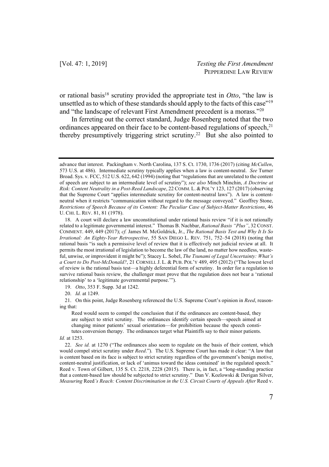or rational basis<sup>18</sup> scrutiny provided the appropriate test in *Otto*, "the law is unsettled as to which of these standards should apply to the facts of this case"<sup>19</sup> and "the landscape of relevant First Amendment precedent is a morass."20

In ferreting out the correct standard, Judge Rosenberg noted that the two ordinances appeared on their face to be content-based regulations of speech,<sup>21</sup> thereby presumptively triggering strict scrutiny.22 But she also pointed to

19. *Otto*, 353 F. Supp. 3d at 1242.

20. *Id.* at 1249.

21. On this point, Judge Rosenberg referenced the U.S. Supreme Court's opinion in *Reed*, reasoning that:

Reed would seem to compel the conclusion that if the ordinances are content-based, they are subject to strict scrutiny. The ordinances identify certain speech—speech aimed at changing minor patients' sexual orientation—for prohibition because the speech constitutes conversion therapy. The ordinances target what Plaintiffs say to their minor patients.

#### *Id.* at 1253.

22. *See id.* at 1270 ("The ordinances also seem to regulate on the basis of their content, which would compel strict scrutiny under *Reed*."). The U.S. Supreme Court has made it clear: "A law that is content based on its face is subject to strict scrutiny regardless of the government's benign motive, content-neutral justification, or lack of 'animus toward the ideas contained' in the regulated speech." Reed v. Town of Gilbert, 135 S. Ct. 2218, 2228 (2015). There is, in fact, a "long-standing practice that a content-based law should be subjected to strict scrutiny." Dan V. Kozlowski & Derigan Silver, *Measuring* Reed*'s Reach: Content Discrimination in the U.S. Circuit Courts of Appeals After* Reed v.

advance that interest. Packingham v. North Carolina, 137 S. Ct. 1730, 1736 (2017) (citing *McCullen*, 573 U.S. at 486). Intermediate scrutiny typically applies when a law is content-neutral. *See* Turner Broad. Sys. v. FCC, 512 U.S. 622, 642 (1994) (noting that "regulations that are unrelated to the content of speech are subject to an intermediate level of scrutiny"); *see also* Minch Minchin, *A Doctrine at Risk: Content Neutrality in a Post-Reed Landscape*, 22 COMM. L. & POL'Y 123, 127 (2017) (observing that the Supreme Court "applies intermediate scrutiny for content-neutral laws"). A law is contentneutral when it restricts "communication without regard to the message conveyed." Geoffrey Stone, *Restrictions of Speech Because of its Content: The Peculiar Case of Subject-Matter Restrictions*, 46 U. CHI. L. REV. 81, 81 (1978).

<sup>18.</sup> A court will declare a law unconstitutional under rational basis review "if it is not rationally related to a legitimate governmental interest." Thomas B. Nachbar, *Rational Basis "Plus"*, 32 CONST. COMMENT. 449, 449 (2017); *cf.* James M. McGoldrick, Jr., *The Rational Basis Test and Why It Is So Irrational: An Eighty-Year Retrospective*, 55 SAN DIEGO L. REV. 751, 752–54 (2018) (noting that rational basis "is such a permissive level of review that it is effectively not judicial review at all. It permits the most irrational of legislation to become the law of the land, no matter how needless, wasteful, unwise, or improvident it might be"); Stacey L. Sobel, *The Tsunami of Legal Uncertainty: What's a Court to Do Post-McDonald?*, 21 CORNELL J. L. & PUB. POL'Y 489, 495 (2012) ("The lowest level of review is the rational basis test—a highly deferential form of scrutiny. In order for a regulation to survive rational basis review, the challenger must prove that the regulation does not bear a 'rational relationship' to a 'legitimate governmental purpose.'").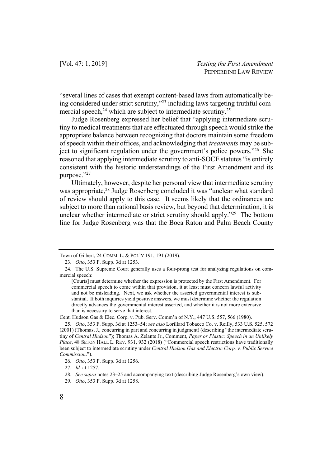"several lines of cases that exempt content-based laws from automatically being considered under strict scrutiny,"23 including laws targeting truthful commercial speech, $24$  which are subject to intermediate scrutiny.<sup>25</sup>

Judge Rosenberg expressed her belief that "applying intermediate scrutiny to medical treatments that are effectuated through speech would strike the appropriate balance between recognizing that doctors maintain some freedom of speech within their offices, and acknowledging that *treatments* may be subject to significant regulation under the government's police powers."26 She reasoned that applying intermediate scrutiny to anti-SOCE statutes "is entirely consistent with the historic understandings of the First Amendment and its purpose."27

Ultimately, however, despite her personal view that intermediate scrutiny was appropriate,<sup>28</sup> Judge Rosenberg concluded it was "unclear what standard of review should apply to this case. It seems likely that the ordinances are subject to more than rational basis review, but beyond that determination, it is unclear whether intermediate or strict scrutiny should apply."<sup>29</sup> The bottom line for Judge Rosenberg was that the Boca Raton and Palm Beach County

Cent. Hudson Gas & Elec. Corp. v. Pub. Serv. Comm'n of N.Y., 447 U.S. 557, 566 (1980).

Town of Gilbert, 24 COMM. L. & POL'Y 191, 191 (2019).

<sup>23.</sup> *Otto*, 353 F. Supp. 3d at 1253.

<sup>24.</sup> The U.S. Supreme Court generally uses a four-prong test for analyzing regulations on commercial speech:

<sup>[</sup>Courts] must determine whether the expression is protected by the First Amendment. For commercial speech to come within that provision, it at least must concern lawful activity and not be misleading. Next, we ask whether the asserted governmental interest is substantial. If both inquiries yield positive answers, we must determine whether the regulation directly advances the governmental interest asserted, and whether it is not more extensive than is necessary to serve that interest.

<sup>25.</sup> *Otto*, 353 F. Supp. 3d at 1253–54; *see also* Lorillard Tobacco Co. v. Reilly, 533 U.S. 525, 572 (2001) (Thomas, J., concurring in part and concurring in judgment) (describing "the intermediate scrutiny of *Central Hudson*"); Thomas A. Zelante Jr., Comment, *Paper or Plastic: Speech in an Unlikely Place*, 48 SETON HALL L. REV. 931, 932 (2018) ("Commercial speech restrictions have traditionally been subject to intermediate scrutiny under *Central Hudson Gas and Electric Corp. v. Public Service Commission*.").

<sup>26.</sup> *Otto*, 353 F. Supp. 3d at 1256.

<sup>27.</sup> *Id.* at 1257.

<sup>28.</sup> *See supra* notes 23–25 and accompanying text (describing Judge Rosenberg's own view).

<sup>29.</sup> *Otto*, 353 F. Supp. 3d at 1258.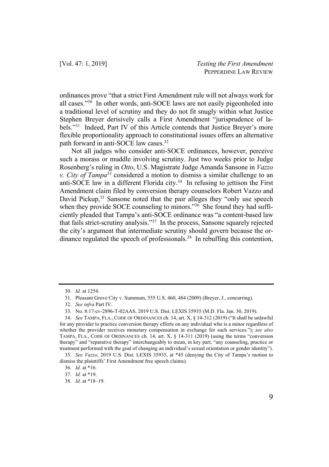ordinances prove "that a strict First Amendment rule will not always work for all cases."30 In other words, anti-SOCE laws are not easily pigeonholed into a traditional level of scrutiny and they do not fit snugly within what Justice Stephen Breyer derisively calls a First Amendment "jurisprudence of labels."31 Indeed, Part IV of this Article contends that Justice Breyer's more flexible proportionality approach to constitutional issues offers an alternative path forward in anti-SOCE law cases.32

Not all judges who consider anti-SOCE ordinances, however, perceive such a morass or muddle involving scrutiny. Just two weeks prior to Judge Rosenberg's ruling in *Otto*, U.S. Magistrate Judge Amanda Sansone in *Vazzo v. City of Tampa*<sup>33</sup> considered a motion to dismiss a similar challenge to an anti-SOCE law in a different Florida city.<sup>34</sup> In refusing to jettison the First Amendment claim filed by conversion therapy counselors Robert Vazzo and David Pickup,<sup>35</sup> Sansone noted that the pair alleges they "only use speech when they provide SOCE counseling to minors."<sup>36</sup> She found they had sufficiently pleaded that Tampa's anti-SOCE ordinance was "a content-based law that fails strict-scrutiny analysis."37 In the process, Sansone squarely rejected the city's argument that intermediate scrutiny should govern because the ordinance regulated the speech of professionals.38 In rebuffing this contention,

<sup>30.</sup> *Id.* at 1254.

<sup>31.</sup> Pleasant Grove City v. Summum, 555 U.S. 460, 484 (2009) (Breyer, J., concurring).

<sup>32.</sup> *See infra* Part IV.

<sup>33.</sup> No. 8:17-cv-2896-T-02AAS, 2019 U.S. Dist. LEXIS 35935 (M.D. Fla. Jan. 30, 2019).

<sup>34.</sup> *See* TAMPA, FLA., CODE OF ORDINANCES ch. 14, art. X, § 14-312 (2019) ("It shall be unlawful for any provider to practice conversion therapy efforts on any individual who is a minor regardless of whether the provider receives monetary compensation in exchange for such services."); *see also* TAMPA, FLA., CODE OF ORDINANCES ch. 14, art. X, § 14-311 (2019) (using the terms "conversion therapy" and "reparative therapy" interchangeably to mean, in key part, "any counseling, practice or treatment performed with the goal of changing an individual's sexual orientation or gender identity").

<sup>35.</sup> *See Vazzo*, 2019 U.S. Dist. LEXIS 35935, at \*45 (denying the City of Tampa's motion to dismiss the plaintiffs' First Amendment free speech claims).

<sup>36.</sup> *Id.* at \*16.

<sup>37.</sup> *Id.* at \*19.

<sup>38.</sup> *Id.* at \*18–19.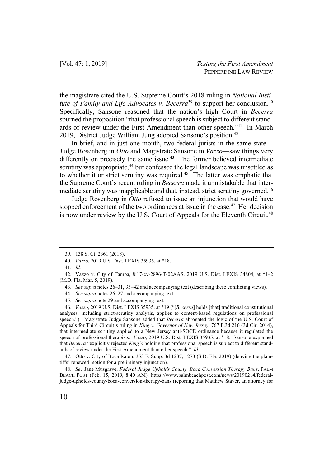the magistrate cited the U.S. Supreme Court's 2018 ruling in *National Institute of Family and Life Advocates v. Becerra*<sup>39</sup> to support her conclusion.<sup>40</sup> Specifically, Sansone reasoned that the nation's high Court in *Becerra* spurned the proposition "that professional speech is subject to different standards of review under the First Amendment than other speech."41 In March 2019, District Judge William Jung adopted Sansone's position.<sup>42</sup>

In brief, and in just one month, two federal jurists in the same state— Judge Rosenberg in *Otto* and Magistrate Sansone in *Vazzo*—saw things very differently on precisely the same issue.<sup>43</sup> The former believed intermediate scrutiny was appropriate,<sup>44</sup> but confessed the legal landscape was unsettled as to whether it or strict scrutiny was required.45 The latter was emphatic that the Supreme Court's recent ruling in *Becerra* made it unmistakable that intermediate scrutiny was inapplicable and that, instead, strict scrutiny governed.<sup>46</sup>

Judge Rosenberg in *Otto* refused to issue an injunction that would have stopped enforcement of the two ordinances at issue in the case.<sup>47</sup> Her decision is now under review by the U.S. Court of Appeals for the Eleventh Circuit.<sup>48</sup>

40. *Vazzo*, 2019 U.S. Dist. LEXIS 35935, at \*18.

44. *See supra* notes 26–27 and accompanying text.

45. *See supra* note 29 and accompanying text.

46. *Vazzo*, 2019 U.S. Dist. LEXIS 35935, at \*19 ("[*Becerra*] holds [that] traditional constitutional analyses, including strict-scrutiny analysis, applies to content-based regulations on professional speech."). Magistrate Judge Sansone added that *Becerra* abrogated the logic of the U.S. Court of Appeals for Third Circuit's ruling in *King v. Governor of New Jersey*, 767 F.3d 216 (3d Cir. 2014), that intermediate scrutiny applied to a New Jersey anti-SOCE ordinance because it regulated the speech of professional therapists. *Vazzo*, 2019 U.S. Dist. LEXIS 35935, at \*18. Sansone explained that *Becerra* "explicitly rejected *King's* holding that professional speech is subject to different standards of review under the First Amendment than other speech." *Id.*

47. Otto v. City of Boca Raton, 353 F. Supp. 3d 1237, 1273 (S.D. Fla. 2019) (denying the plaintiffs' renewed motion for a preliminary injunction).

48. *See* Jane Musgrave, *Federal Judge Upholds County, Boca Conversion Therapy Bans*, PALM BEACH POST (Feb. 15, 2019, 8:40 AM), https://www.palmbeachpost.com/news/20190214/federaljudge-upholds-county-boca-conversion-therapy-bans (reporting that Matthew Staver, an attorney for

<sup>39.</sup> 138 S. Ct. 2361 (2018).

<sup>41.</sup> *Id.*

<sup>42.</sup> Vazzo v. City of Tampa, 8:17-cv-2896-T-02AAS, 2019 U.S. Dist. LEXIS 34804, at \*1–2 (M.D. Fla. Mar. 5, 2019).

<sup>43.</sup> *See supra* notes 26–31, 33–42 and accompanying text (describing these conflicting views).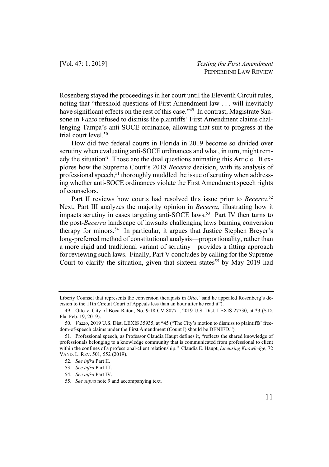Rosenberg stayed the proceedings in her court until the Eleventh Circuit rules, noting that "threshold questions of First Amendment law . . . will inevitably have significant effects on the rest of this case."<sup>49</sup> In contrast, Magistrate Sansone in *Vazzo* refused to dismiss the plaintiffs' First Amendment claims challenging Tampa's anti-SOCE ordinance, allowing that suit to progress at the trial court level.<sup>50</sup>

How did two federal courts in Florida in 2019 become so divided over scrutiny when evaluating anti-SOCE ordinances and what, in turn, might remedy the situation? Those are the dual questions animating this Article. It explores how the Supreme Court's 2018 *Becerra* decision, with its analysis of professional speech,<sup>51</sup> thoroughly muddled the issue of scrutiny when addressing whether anti-SOCE ordinances violate the First Amendment speech rights of counselors.

Part II reviews how courts had resolved this issue prior to *Becerra*. 52 Next, Part III analyzes the majority opinion in *Becerra*, illustrating how it impacts scrutiny in cases targeting anti-SOCE laws.<sup>53</sup> Part IV then turns to the post-*Becerra* landscape of lawsuits challenging laws banning conversion therapy for minors.54 In particular, it argues that Justice Stephen Breyer's long-preferred method of constitutional analysis—proportionality, rather than a more rigid and traditional variant of scrutiny—provides a fitting approach for reviewing such laws. Finally, Part V concludes by calling for the Supreme Court to clarify the situation, given that sixteen states<sup>55</sup> by May 2019 had

Liberty Counsel that represents the conversion therapists in *Otto*, "said he appealed Rosenberg's decision to the 11th Circuit Court of Appeals less than an hour after he read it").

<sup>49.</sup> Otto v. City of Boca Raton, No. 9:18-CV-80771, 2019 U.S. Dist. LEXIS 27730, at \*3 (S.D. Fla. Feb. 19, 2019).

<sup>50.</sup> *Vazzo*, 2019 U.S. Dist. LEXIS 35935, at \*45 ("The City's motion to dismiss to plaintiffs' freedom-of-speech claims under the First Amendment (Count I) should be DENIED.").

<sup>51.</sup> Professional speech, as Professor Claudia Haupt defines it, "reflects the shared knowledge of professionals belonging to a knowledge community that is communicated from professional to client within the confines of a professional-client relationship." Claudia E. Haupt, *Licensing Knowledge*, 72 VAND. L. REV. 501, 552 (2019).

<sup>52.</sup> *See infra* Part II.

<sup>53.</sup> *See infra* Part III.

<sup>54.</sup> *See infra* Part IV.

<sup>55.</sup> *See supra* note 9 and accompanying text.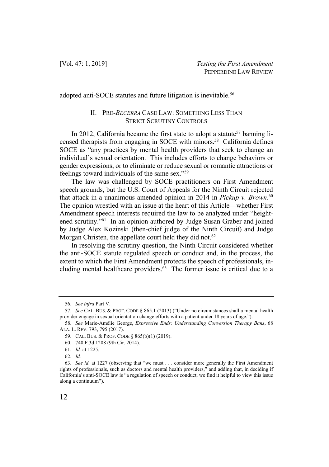adopted anti-SOCE statutes and future litigation is inevitable.<sup>56</sup>

## II. PRE-*BECERRA* CASE LAW: SOMETHING LESS THAN STRICT SCRUTINY CONTROLS

In 2012, California became the first state to adopt a statute<sup>57</sup> banning licensed therapists from engaging in SOCE with minors.58 California defines SOCE as "any practices by mental health providers that seek to change an individual's sexual orientation. This includes efforts to change behaviors or gender expressions, or to eliminate or reduce sexual or romantic attractions or feelings toward individuals of the same sex."59

The law was challenged by SOCE practitioners on First Amendment speech grounds, but the U.S. Court of Appeals for the Ninth Circuit rejected that attack in a unanimous amended opinion in 2014 in *Pickup v. Brown*. 60 The opinion wrestled with an issue at the heart of this Article—whether First Amendment speech interests required the law to be analyzed under "heightened scrutiny."61 In an opinion authored by Judge Susan Graber and joined by Judge Alex Kozinski (then-chief judge of the Ninth Circuit) and Judge Morgan Christen, the appellate court held they did not.<sup>62</sup>

In resolving the scrutiny question, the Ninth Circuit considered whether the anti-SOCE statute regulated speech or conduct and, in the process, the extent to which the First Amendment protects the speech of professionals, including mental healthcare providers. $63$  The former issue is critical due to a

<sup>56.</sup> *See infra* Part V.

<sup>57.</sup> *See* CAL. BUS. & PROF. CODE § 865.1 (2013) ("Under no circumstances shall a mental health provider engage in sexual orientation change efforts with a patient under 18 years of age.").

<sup>58.</sup> *See* Marie-Amélie George, *Expressive Ends: Understanding Conversion Therapy Bans*, 68 ALA. L. REV. 793, 795 (2017).

<sup>59.</sup> CAL. BUS. & PROF. CODE § 865(b)(1) (2019).

<sup>60.</sup> 740 F.3d 1208 (9th Cir. 2014).

<sup>61.</sup> *Id.* at 1225.

<sup>62.</sup> *Id.*

<sup>63.</sup> *See id.* at 1227 (observing that "we must . . . consider more generally the First Amendment rights of professionals, such as doctors and mental health providers," and adding that, in deciding if California's anti-SOCE law is "a regulation of speech or conduct, we find it helpful to view this issue along a continuum").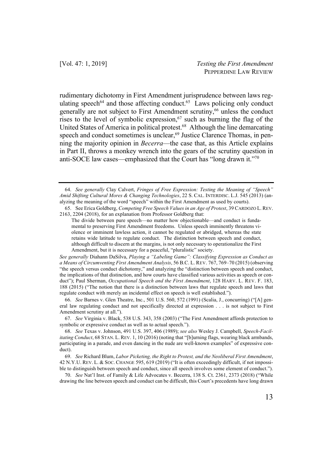rudimentary dichotomy in First Amendment jurisprudence between laws regulating speech<sup>64</sup> and those affecting conduct.<sup>65</sup> Laws policing only conduct generally are not subject to First Amendment scrutiny,<sup>66</sup> unless the conduct rises to the level of symbolic expression,  $67$  such as burning the flag of the United States of America in political protest.68 Although the line demarcating speech and conduct sometimes is unclear,<sup>69</sup> Justice Clarence Thomas, in penning the majority opinion in *Becerra*—the case that, as this Article explains in Part II, throws a monkey wrench into the gears of the scrutiny question in anti-SOCE law cases—emphasized that the Court has "long drawn it."70

<sup>64.</sup> *See generally* Clay Calvert, *Fringes of Free Expression: Testing the Meaning of "Speech" Amid Shifting Cultural Mores & Changing Technologies*, 22 S. CAL. INTERDISC. L.J. 545 (2013) (analyzing the meaning of the word "speech" within the First Amendment as used by courts).

<sup>65.</sup> See Erica Goldberg, *Competing Free Speech Values in an Age of Protest*, 39 CARDOZO L. REV. 2163, 2204 (2018), for an explanation from Professor Goldberg that:

The divide between pure speech—no matter how objectionable—and conduct is fundamental to preserving First Amendment freedoms. Unless speech imminently threatens violence or imminent lawless action, it cannot be regulated or abridged, whereas the state retains wide latitude to regulate conduct. The distinction between speech and conduct, although difficult to discern at the margins, is not only necessary to operationalize the First Amendment, but it is necessary for a peaceful, "pluralistic" society.

*See generally* Diahann DaSilva, *Playing a "Labeling Game": Classifying Expression as Conduct as a Means of Circumventing First Amendment Analysis*, 56 B.C. L. REV. 767, 769–70 (2015) (observing "the speech versus conduct dichotomy," and analyzing the "distinction between speech and conduct, the implications of that distinction, and how courts have classified various activities as speech or conduct"); Paul Sherman, *Occupational Speech and the First Amendment*, 128 HARV. L. REV. F. 183, 188 (2015) ("The notion that there is a distinction between laws that regulate speech and laws that regulate conduct with merely an incidental effect on speech is well established.").

<sup>66.</sup> *See* Barnes v. Glen Theatre, Inc., 501 U.S. 560, 572 (1991) (Scalia, J., concurring) ("[A] general law regulating conduct and not specifically directed at expression . . . is not subject to First Amendment scrutiny at all.").

<sup>67.</sup> *See* Virginia v. Black, 538 U.S. 343, 358 (2003) ("The First Amendment affords protection to symbolic or expressive conduct as well as to actual speech.").

<sup>68.</sup> *See* Texas v. Johnson, 491 U.S. 397, 406 (1989); *see also* Wesley J. Campbell, *Speech-Facilitating Conduct*, 68 STAN. L. REV. 1, 10 (2016) (noting that "[b]urning flags, wearing black armbands, participating in a parade, and even dancing in the nude are well-known examples" of expressive conduct).

<sup>69.</sup> *See* Richard Blum, *Labor Picketing, the Right to Protest, and the Neoliberal First Amendment*, 42 N.Y.U. REV. L. & SOC. CHANGE 595, 619 (2019) ("It is often exceedingly difficult, if not impossible to distinguish between speech and conduct, since all speech involves some element of conduct.").

<sup>70.</sup> *See* Nat'l Inst. of Family & Life Advocates v. Becerra, 138 S. Ct. 2361, 2373 (2018) ("While drawing the line between speech and conduct can be difficult, this Court's precedents have long drawn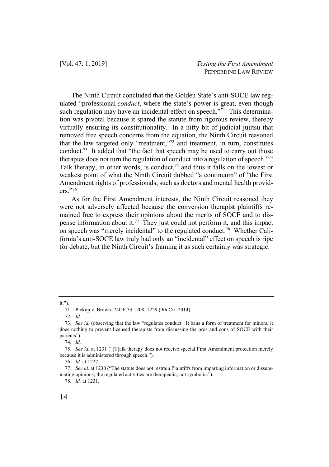The Ninth Circuit concluded that the Golden State's anti-SOCE law regulated "professional *conduct*, where the state's power is great, even though such regulation may have an incidental effect on speech." $\frac{7}{1}$  This determination was pivotal because it spared the statute from rigorous review, thereby virtually ensuring its constitutionality. In a nifty bit of judicial jujitsu that removed free speech concerns from the equation, the Ninth Circuit reasoned that the law targeted only "treatment,"72 and treatment, in turn, constitutes conduct.<sup>73</sup> It added that "the fact that speech may be used to carry out those therapies does not turn the regulation of conduct into a regulation of speech."74 Talk therapy, in other words, is conduct,  $7<sup>5</sup>$  and thus it falls on the lowest or weakest point of what the Ninth Circuit dubbed "a continuum" of "the First Amendment rights of professionals, such as doctors and mental health providers."76

As for the First Amendment interests, the Ninth Circuit reasoned they were not adversely affected because the conversion therapist plaintiffs remained free to express their opinions about the merits of SOCE and to dispense information about it.<sup>77</sup> They just could not perform it, and this impact on speech was "merely incidental" to the regulated conduct.78 Whether California's anti-SOCE law truly had only an "incidental" effect on speech is ripe for debate, but the Ninth Circuit's framing it as such certainly was strategic.

#### it.").

<sup>71.</sup> Pickup v. Brown, 740 F.3d 1208, 1229 (9th Cir. 2014).

<sup>72.</sup> *Id.*

<sup>73.</sup> *See id.* (observing that the law "regulates conduct. It bans a form of treatment for minors; it does nothing to prevent licensed therapists from discussing the pros and cons of SOCE with their patients").

<sup>74.</sup> *Id.*

<sup>75.</sup> *See id.* at 1231 ("[T]alk therapy does not receive special First Amendment protection merely because it is administered through speech.").

<sup>76.</sup> *Id.* at 1227.

<sup>77.</sup> *See id.* at 1230 ("The statute does not restrain Plaintiffs from imparting information or disseminating opinions; the regulated activities are therapeutic, not symbolic.").

<sup>78.</sup> *Id.* at 1231.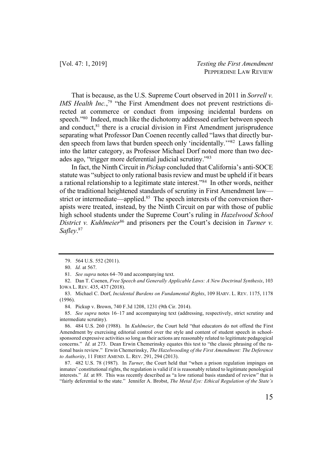That is because, as the U.S. Supreme Court observed in 2011 in *Sorrell v. IMS Health Inc.*,<sup>79</sup> "the First Amendment does not prevent restrictions directed at commerce or conduct from imposing incidental burdens on speech."80 Indeed, much like the dichotomy addressed earlier between speech and conduct, $81$  there is a crucial division in First Amendment jurisprudence separating what Professor Dan Coenen recently called "laws that directly burden speech from laws that burden speech only 'incidentally.'"82 Laws falling into the latter category, as Professor Michael Dorf noted more than two decades ago, "trigger more deferential judicial scrutiny."83

In fact, the Ninth Circuit in *Pickup* concluded that California's anti-SOCE statute was "subject to only rational basis review and must be upheld if it bears a rational relationship to a legitimate state interest."84 In other words, neither of the traditional heightened standards of scrutiny in First Amendment law strict or intermediate—applied.<sup>85</sup> The speech interests of the conversion therapists were treated, instead, by the Ninth Circuit on par with those of public high school students under the Supreme Court's ruling in *Hazelwood School District v. Kuhlmeier*<sup>86</sup> and prisoners per the Court's decision in *Turner v. Safley*. 87

<sup>79.</sup> 564 U.S. 552 (2011).

<sup>80.</sup> *Id.* at 567.

<sup>81.</sup> *See supra* notes 64–70 and accompanying text.

<sup>82.</sup> Dan T. Coenen, *Free Speech and Generally Applicable Laws: A New Doctrinal Synthesis*, 103 IOWA L. REV. 435, 437 (2018).

<sup>83.</sup> Michael C. Dorf, *Incidental Burdens on Fundamental Rights*, 109 HARV. L. REV. 1175, 1178 (1996).

<sup>84.</sup> Pickup v. Brown, 740 F.3d 1208, 1231 (9th Cir. 2014).

<sup>85.</sup> *See supra* notes 16–17 and accompanying text (addressing, respectively, strict scrutiny and intermediate scrutiny).

<sup>86.</sup> 484 U.S. 260 (1988). In *Kuhlmeier*, the Court held "that educators do not offend the First Amendment by exercising editorial control over the style and content of student speech in schoolsponsored expressive activities so long as their actions are reasonably related to legitimate pedagogical concerns." *Id.* at 273. Dean Erwin Chemerinsky equates this test to "the classic phrasing of the rational basis review." Erwin Chemerinsky, *The Hazelwooding of the First Amendment: The Deference to Authority*, 11 FIRST AMEND. L. REV. 291, 294 (2013).

<sup>87.</sup> 482 U.S. 78 (1987). In *Turner*, the Court held that "when a prison regulation impinges on inmates' constitutional rights, the regulation is valid if it is reasonably related to legitimate penological interests." *Id.* at 89. This was recently described as "a low rational basis standard of review" that is "fairly deferential to the state." Jennifer A. Brobst, *The Metal Eye: Ethical Regulation of the State's*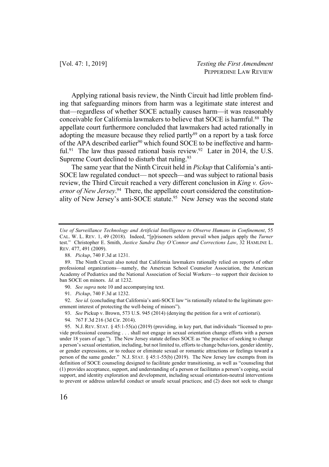Applying rational basis review, the Ninth Circuit had little problem finding that safeguarding minors from harm was a legitimate state interest and that—regardless of whether SOCE actually causes harm—it was reasonably conceivable for California lawmakers to believe that SOCE is harmful.<sup>88</sup> The appellate court furthermore concluded that lawmakers had acted rationally in adopting the measure because they relied partly $89$  on a report by a task force of the APA described earlier<sup>90</sup> which found SOCE to be ineffective and harmful.<sup>91</sup> The law thus passed rational basis review.<sup>92</sup> Later in 2014, the U.S. Supreme Court declined to disturb that ruling.<sup>93</sup>

The same year that the Ninth Circuit held in *Pickup* that California's anti-SOCE law regulated conduct— not speech—and was subject to rational basis review, the Third Circuit reached a very different conclusion in *King v. Governor of New Jersey*. 94 There, the appellate court considered the constitutionality of New Jersey's anti-SOCE statute.<sup>95</sup> New Jersey was the second state

- 90. *See supra* note 10 and accompanying text.
- 91. *Pickup*, 740 F.3d at 1232.

92. *See id.* (concluding that California's anti-SOCE law "is rationally related to the legitimate government interest of protecting the well-being of minors").

- 93. *See* Pickup v. Brown, 573 U.S. 945 (2014) (denying the petition for a writ of certiorari).
- 94. 767 F.3d 216 (3d Cir. 2014).

95. N.J. REV. STAT. § 45:1-55(a) (2019) (providing, in key part, that individuals "licensed to provide professional counseling . . . shall not engage in sexual orientation change efforts with a person under 18 years of age."). The New Jersey statute defines SOCE as "the practice of seeking to change a person's sexual orientation, including, but not limited to, efforts to change behaviors, gender identity, or gender expressions, or to reduce or eliminate sexual or romantic attractions or feelings toward a person of the same gender." N.J. STAT. § 45:1-55(b) (2019). The New Jersey law exempts from its definition of SOCE counseling designed to facilitate gender transitioning, as well as "counseling that (1) provides acceptance, support, and understanding of a person or facilitates a person's coping, social support, and identity exploration and development, including sexual orientation-neutral interventions to prevent or address unlawful conduct or unsafe sexual practices; and (2) does not seek to change

*Use of Surveillance Technology and Artificial Intelligence to Observe Humans in Confinement*, 55 CAL. W. L. REV. 1, 49 (2018). Indeed, "[p]risoners seldom prevail when judges apply the *Turner* test." Christopher E. Smith, *Justice Sandra Day O'Connor and Corrections Law*, 32 HAMLINE L. REV. 477, 491 (2009).

<sup>88.</sup> *Pickup*, 740 F.3d at 1231.

<sup>89.</sup> The Ninth Circuit also noted that California lawmakers rationally relied on reports of other professional organizations—namely, the American School Counselor Association, the American Academy of Pediatrics and the National Association of Social Workers—to support their decision to ban SOCE on minors. *Id.* at 1232.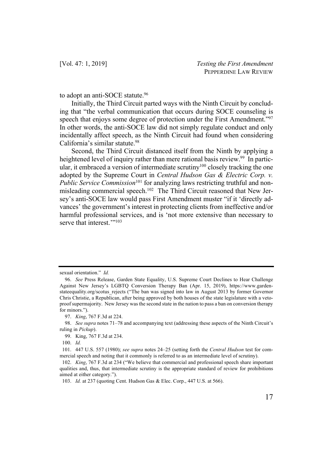to adopt an anti-SOCE statute.<sup>96</sup>

Initially, the Third Circuit parted ways with the Ninth Circuit by concluding that "the verbal communication that occurs during SOCE counseling is speech that enjoys some degree of protection under the First Amendment."97 In other words, the anti-SOCE law did not simply regulate conduct and only incidentally affect speech, as the Ninth Circuit had found when considering California's similar statute.<sup>98</sup>

Second, the Third Circuit distanced itself from the Ninth by applying a heightened level of inquiry rather than mere rational basis review.<sup>99</sup> In particular, it embraced a version of intermediate scrutiny<sup>100</sup> closely tracking the one adopted by the Supreme Court in *Central Hudson Gas & Electric Corp. v. Public Service Commission*<sup>101</sup> for analyzing laws restricting truthful and nonmisleading commercial speech.<sup>102</sup> The Third Circuit reasoned that New Jersey's anti-SOCE law would pass First Amendment muster "if it 'directly advances' the government's interest in protecting clients from ineffective and/or harmful professional services, and is 'not more extensive than necessary to serve that interest.""<sup>103</sup>

sexual orientation." *Id.*

<sup>96.</sup> *See* Press Release, Garden State Equality, U.S. Supreme Court Declines to Hear Challenge Against New Jersey's LGBTQ Conversion Therapy Ban (Apr. 15, 2019), https://www.gardenstateequality.org/scotus\_rejects ("The ban was signed into law in August 2013 by former Governor Chris Christie, a Republican, after being approved by both houses of the state legislature with a vetoproof supermajority. New Jersey was the second state in the nation to pass a ban on conversion therapy for minors.").

<sup>97.</sup> *King*, 767 F.3d at 224.

<sup>98.</sup> *See supra* notes 71–78 and accompanying text (addressing these aspects of the Ninth Circuit's ruling in *Pickup*).

<sup>99.</sup> King, 767 F.3d at 234.

<sup>100.</sup> *Id.*

<sup>101.</sup> 447 U.S. 557 (1980); *see supra* notes 24–25 (setting forth the *Central Hudson* test for commercial speech and noting that it commonly is referred to as an intermediate level of scrutiny).

<sup>102.</sup> *King*, 767 F.3d at 234 ("We believe that commercial and professional speech share important qualities and, thus, that intermediate scrutiny is the appropriate standard of review for prohibitions aimed at either category.").

<sup>103.</sup> *Id.* at 237 (quoting Cent. Hudson Gas & Elec. Corp., 447 U.S. at 566).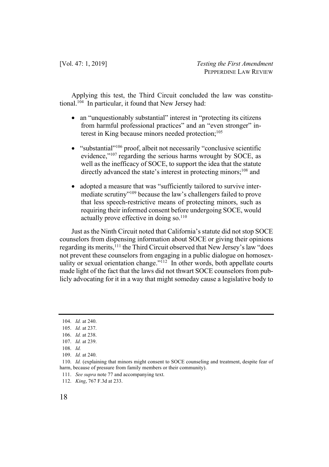Applying this test, the Third Circuit concluded the law was constitutional.104 In particular, it found that New Jersey had:

- an "unquestionably substantial" interest in "protecting its citizens" from harmful professional practices" and an "even stronger" interest in King because minors needed protection;<sup>105</sup>
- "substantial"106 proof, albeit not necessarily "conclusive scientific evidence,"<sup>107</sup> regarding the serious harms wrought by SOCE, as well as the inefficacy of SOCE, to support the idea that the statute directly advanced the state's interest in protecting minors;<sup>108</sup> and
- adopted a measure that was "sufficiently tailored to survive intermediate scrutiny"109 because the law's challengers failed to prove that less speech-restrictive means of protecting minors, such as requiring their informed consent before undergoing SOCE, would actually prove effective in doing so. $110$

Just as the Ninth Circuit noted that California's statute did not stop SOCE counselors from dispensing information about SOCE or giving their opinions regarding its merits,<sup>111</sup> the Third Circuit observed that New Jersey's law "does not prevent these counselors from engaging in a public dialogue on homosexuality or sexual orientation change."<sup>112</sup> In other words, both appellate courts made light of the fact that the laws did not thwart SOCE counselors from publicly advocating for it in a way that might someday cause a legislative body to

111. *See supra* note 77 and accompanying text.

<sup>104.</sup> *Id.* at 240.

<sup>105.</sup> *Id.* at 237.

<sup>106.</sup> *Id.* at 238.

<sup>107.</sup> *Id.* at 239.

<sup>108.</sup> *Id.*

<sup>109.</sup> *Id.* at 240.

<sup>110.</sup> *Id.* (explaining that minors might consent to SOCE counseling and treatment, despite fear of harm, because of pressure from family members or their community).

<sup>112.</sup> *King*, 767 F.3d at 233.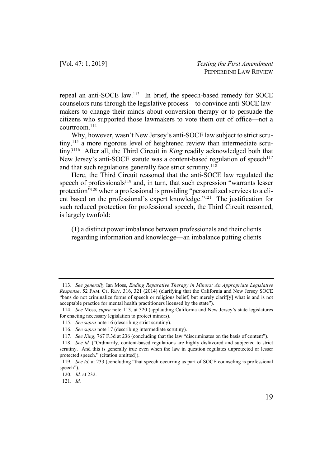repeal an anti-SOCE law.113 In brief, the speech-based remedy for SOCE counselors runs through the legislative process—to convince anti-SOCE lawmakers to change their minds about conversion therapy or to persuade the citizens who supported those lawmakers to vote them out of office—not a courtroom.114

Why, however, wasn't New Jersey's anti-SOCE law subject to strict scrutiny,115 a more rigorous level of heightened review than intermediate scrutiny?116 After all, the Third Circuit in *King* readily acknowledged both that New Jersey's anti-SOCE statute was a content-based regulation of speech<sup>117</sup> and that such regulations generally face strict scrutiny.<sup>118</sup>

Here, the Third Circuit reasoned that the anti-SOCE law regulated the speech of professionals<sup>119</sup> and, in turn, that such expression "warrants lesser protection"120 when a professional is providing "personalized services to a client based on the professional's expert knowledge."121 The justification for such reduced protection for professional speech, the Third Circuit reasoned, is largely twofold:

(1) a distinct power imbalance between professionals and their clients regarding information and knowledge—an imbalance putting clients

<sup>113.</sup> *See generally* Ian Moss, *Ending Reparative Therapy in Minors: An Appropriate Legislative Response*, 52 FAM. CT. REV. 316, 321 (2014) (clarifying that the California and New Jersey SOCE "bans do not criminalize forms of speech or religious belief, but merely clarif[y] what is and is not acceptable practice for mental health practitioners licensed by the state").

<sup>114.</sup> *See* Moss, *supra* note 113, at 320 (applauding California and New Jersey's state legislatures for enacting necessary legislation to protect minors).

<sup>115.</sup> *See supra* note 16 (describing strict scrutiny).

<sup>116.</sup> *See supra* note 17 (describing intermediate scrutiny).

<sup>117.</sup> *See King*, 767 F.3d at 236 (concluding that the law "discriminates on the basis of content").

<sup>118.</sup> *See id.* ("Ordinarily, content-based regulations are highly disfavored and subjected to strict scrutiny. And this is generally true even when the law in question regulates unprotected or lesser protected speech." (citation omitted)).

<sup>119.</sup> *See id.* at 233 (concluding "that speech occurring as part of SOCE counseling is professional speech").

<sup>120.</sup> *Id.* at 232.

<sup>121.</sup> *Id.*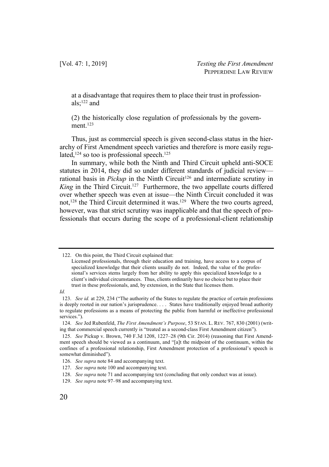[Vol. 47: 1, 2019] *Testing the First Amendment* PEPPERDINE LAW REVIEW

at a disadvantage that requires them to place their trust in professionals;122 and

(2) the historically close regulation of professionals by the government. $123$ 

Thus, just as commercial speech is given second-class status in the hierarchy of First Amendment speech varieties and therefore is more easily regulated, $124$  so too is professional speech. $125$ 

In summary, while both the Ninth and Third Circuit upheld anti-SOCE statutes in 2014, they did so under different standards of judicial review rational basis in *Pickup* in the Ninth Circuit<sup>126</sup> and intermediate scrutiny in *King* in the Third Circuit.<sup>127</sup> Furthermore, the two appellate courts differed over whether speech was even at issue—the Ninth Circuit concluded it was not,<sup>128</sup> the Third Circuit determined it was.<sup>129</sup> Where the two courts agreed, however, was that strict scrutiny was inapplicable and that the speech of professionals that occurs during the scope of a professional-client relationship

*Id.* 

<sup>122.</sup> On this point, the Third Circuit explained that:

Licensed professionals, through their education and training, have access to a corpus of specialized knowledge that their clients usually do not. Indeed, the value of the professional's services stems largely from her ability to apply this specialized knowledge to a client's individual circumstances. Thus, clients ordinarily have no choice but to place their trust in these professionals, and, by extension, in the State that licenses them.

<sup>123.</sup> *See id.* at 229, 234 ("The authority of the States to regulate the practice of certain professions is deeply rooted in our nation's jurisprudence. . . . States have traditionally enjoyed broad authority to regulate professions as a means of protecting the public from harmful or ineffective professional services.").

<sup>124.</sup> *See* Jed Rubenfeld, *The First Amendment's Purpose*, 53 STAN. L. REV. 767, 830 (2001) (writing that commercial speech currently is "treated as a second-class First Amendment citizen").

<sup>125.</sup> *See* Pickup v. Brown, 740 F.3d 1208, 1227–28 (9th Cir. 2014) (reasoning that First Amendment speech should be viewed as a continuum, and "[a]t the midpoint of the continuum, within the confines of a professional relationship, First Amendment protection of a professional's speech is somewhat diminished").

<sup>126.</sup> *See supra* note 84 and accompanying text.

<sup>127.</sup> *See supra* note 100 and accompanying text.

<sup>128.</sup> *See supra* note 71 and accompanying text (concluding that only conduct was at issue).

<sup>129.</sup> *See supra* note 97–98 and accompanying text.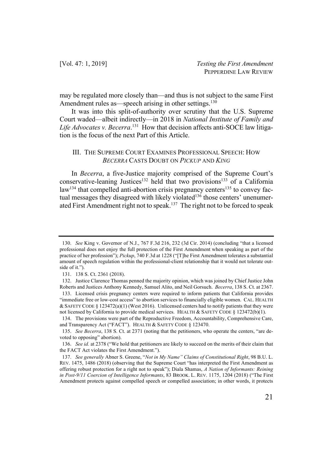may be regulated more closely than—and thus is not subject to the same First Amendment rules as—speech arising in other settings.<sup>130</sup>

It was into this split-of-authority over scrutiny that the U.S. Supreme Court waded—albeit indirectly—in 2018 in *National Institute of Family and Life Advocates v. Becerra*. 131 How that decision affects anti-SOCE law litigation is the focus of the next Part of this Article.

## III. THE SUPREME COURT EXAMINES PROFESSIONAL SPEECH: HOW *BECERRA* CASTS DOUBT ON *PICKUP* AND *KING*

In *Becerra*, a five-Justice majority comprised of the Supreme Court's conservative-leaning Justices<sup>132</sup> held that two provisions<sup>133</sup> of a California  $law<sup>134</sup>$  that compelled anti-abortion crisis pregnancy centers<sup>135</sup> to convey factual messages they disagreed with likely violated<sup>136</sup> those centers' unenumerated First Amendment right not to speak.137 The right not to be forced to speak

<sup>130.</sup> *See* King v. Governor of N.J., 767 F.3d 216, 232 (3d Cir. 2014) (concluding "that a licensed professional does not enjoy the full protection of the First Amendment when speaking as part of the practice of her profession"); *Pickup*, 740 F.3d at 1228 ("[T]he First Amendment tolerates a substantial amount of speech regulation within the professional-client relationship that it would not tolerate outside of it.").

<sup>131.</sup> 138 S. Ct. 2361 (2018).

<sup>132.</sup> Justice Clarence Thomas penned the majority opinion, which was joined by Chief Justice John Roberts and Justices Anthony Kennedy, Samuel Alito, and Neil Gorsuch. *Becerra*, 138 S. Ct. at 2367. 133. Licensed crisis pregnancy centers were required to inform patients that California provides

<sup>&</sup>quot;immediate free or low-cost access" to abortion services to financially eligible women. CAL. HEALTH & SAFETY CODE § 123472(a)(1) (West 2016). Unlicensed centers had to notify patients that they were not licensed by California to provide medical services. HEALTH & SAFETY CODE § 123472(b)(1).

<sup>134.</sup> The provisions were part of the Reproductive Freedom, Accountability, Comprehensive Care, and Transparency Act ("FACT"). HEALTH & SAFETY CODE § 123470.

<sup>135.</sup> *See Becerra*, 138 S. Ct. at 2371 (noting that the petitioners, who operate the centers, "are devoted to opposing" abortion).

<sup>136.</sup> *See id.* at 2378 ("We hold that petitioners are likely to succeed on the merits of their claim that the FACT Act violates the First Amendment.").

<sup>137.</sup> *See generally* Abner S. Greene, "*Not in My Name" Claims of Constitutional Right*, 98 B.U. L. REV. 1475, 1486 (2018) (observing that the Supreme Court "has interpreted the First Amendment as offering robust protection for a right not to speak"); Diala Shamas, *A Nation of Informants: Reining in Post-9/11 Coercion of Intelligence Informants*, 83 BROOK. L. REV. 1175, 1204 (2018) ("The First Amendment protects against compelled speech or compelled association; in other words, it protects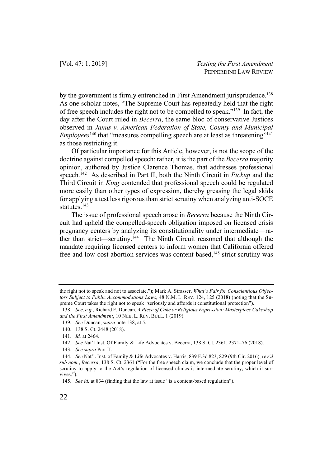by the government is firmly entrenched in First Amendment jurisprudence.<sup>138</sup> As one scholar notes, "The Supreme Court has repeatedly held that the right of free speech includes the right not to be compelled to speak."139 In fact, the day after the Court ruled in *Becerra*, the same bloc of conservative Justices observed in *Janus v. American Federation of State, County and Municipal Employees*<sup>140</sup> that "measures compelling speech are at least as threatening"<sup>141</sup> as those restricting it.

Of particular importance for this Article, however, is not the scope of the doctrine against compelled speech; rather, it is the part of the *Becerra* majority opinion, authored by Justice Clarence Thomas, that addresses professional speech.142 As described in Part II, both the Ninth Circuit in *Pickup* and the Third Circuit in *King* contended that professional speech could be regulated more easily than other types of expression, thereby greasing the legal skids for applying a test less rigorous than strict scrutiny when analyzing anti-SOCE statutes.143

The issue of professional speech arose in *Becerra* because the Ninth Circuit had upheld the compelled-speech obligation imposed on licensed crisis pregnancy centers by analyzing its constitutionality under intermediate—rather than strict—scrutiny.<sup>144</sup> The Ninth Circuit reasoned that although the mandate requiring licensed centers to inform women that California offered free and low-cost abortion services was content based,<sup>145</sup> strict scrutiny was

the right not to speak and not to associate."); Mark A. Strasser, *What's Fair for Conscientious Objectors Subject to Public Accommodations Laws*, 48 N.M. L. REV. 124, 125 (2018) (noting that the Supreme Court takes the right not to speak "seriously and affords it constitutional protection").

<sup>138.</sup> *See, e.g.*, Richard F. Duncan, *A Piece of Cake or Religious Expression: Masterpiece Cakeshop and the First Amendment*, 10 NEB. L. REV. BULL. 1 (2019).

<sup>139.</sup> *See* Duncan, *supra* note 138, at 5.

<sup>140.</sup> 138 S. Ct. 2448 (2018).

<sup>141.</sup> *Id.* at 2464.

<sup>142.</sup> *See* Nat'l Inst. Of Family & Life Advocates v. Becerra, 138 S. Ct. 2361, 2371–76 (2018).

<sup>143.</sup> *See supra* Part II.

<sup>144.</sup> *See* Nat'l. Inst. of Family & Life Advocates v. Harris, 839 F.3d 823, 829 (9th Cir. 2016), *rev'd sub nom.*, *Becerra*, 138 S. Ct. 2361 ("For the free speech claim, we conclude that the proper level of scrutiny to apply to the Act's regulation of licensed clinics is intermediate scrutiny, which it survives.").

<sup>145.</sup> *See id.* at 834 (finding that the law at issue "is a content-based regulation").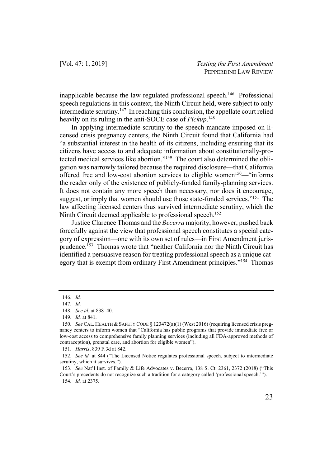inapplicable because the law regulated professional speech.146 Professional speech regulations in this context, the Ninth Circuit held, were subject to only intermediate scrutiny.147 In reaching this conclusion, the appellate court relied heavily on its ruling in the anti-SOCE case of *Pickup*. 148

In applying intermediate scrutiny to the speech-mandate imposed on licensed crisis pregnancy centers, the Ninth Circuit found that California had "a substantial interest in the health of its citizens, including ensuring that its citizens have access to and adequate information about constitutionally-protected medical services like abortion."149 The court also determined the obligation was narrowly tailored because the required disclosure—that California offered free and low-cost abortion services to eligible women<sup>150</sup>—"informs the reader only of the existence of publicly-funded family-planning services. It does not contain any more speech than necessary, nor does it encourage, suggest, or imply that women should use those state-funded services."<sup>151</sup> The law affecting licensed centers thus survived intermediate scrutiny, which the Ninth Circuit deemed applicable to professional speech.<sup>152</sup>

Justice Clarence Thomas and the *Becerra* majority, however, pushed back forcefully against the view that professional speech constitutes a special category of expression—one with its own set of rules—in First Amendment jurisprudence.153 Thomas wrote that "neither California nor the Ninth Circuit has identified a persuasive reason for treating professional speech as a unique category that is exempt from ordinary First Amendment principles."154 Thomas

<sup>146.</sup> *Id.* 

<sup>147.</sup> *Id.*

<sup>148.</sup> *See id.* at 838–40.

<sup>149.</sup> *Id.* at 841.

<sup>150.</sup> *See* CAL. HEALTH & SAFETY CODE § 123472(a)(1) (West 2016) (requiring licensed crisis pregnancy centers to inform women that "California has public programs that provide immediate free or low-cost access to comprehensive family planning services (including all FDA-approved methods of contraception), prenatal care, and abortion for eligible women").

<sup>151.</sup> *Harris*, 839 F.3d at 842.

<sup>152.</sup> *See id.* at 844 ("The Licensed Notice regulates professional speech, subject to intermediate scrutiny, which it survives.").

<sup>153.</sup> *See* Nat'l Inst. of Family & Life Advocates v. Becerra, 138 S. Ct. 2361, 2372 (2018) ("This Court's precedents do not recognize such a tradition for a category called 'professional speech.'"). 154. *Id.* at 2375.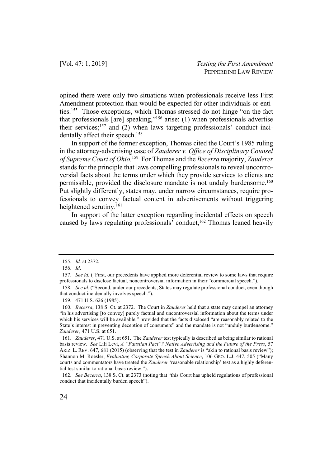opined there were only two situations when professionals receive less First Amendment protection than would be expected for other individuals or entities.155 Those exceptions, which Thomas stressed do not hinge "on the fact that professionals [are] speaking,"156 arise: (1) when professionals advertise their services; <sup>157</sup> and (2) when laws targeting professionals' conduct incidentally affect their speech.<sup>158</sup>

In support of the former exception, Thomas cited the Court's 1985 ruling in the attorney-advertising case of *Zauderer v. Office of Disciplinary Counsel of Supreme Court of Ohio.* 159 For Thomas and the *Becerra* majority, *Zauderer* stands for the principle that laws compelling professionals to reveal uncontroversial facts about the terms under which they provide services to clients are permissible, provided the disclosure mandate is not unduly burdensome.<sup>160</sup> Put slightly differently, states may, under narrow circumstances, require professionals to convey factual content in advertisements without triggering heightened scrutiny.<sup>161</sup>

In support of the latter exception regarding incidental effects on speech caused by laws regulating professionals' conduct,  $162$  Thomas leaned heavily

<sup>155.</sup> *Id.* at 2372.

<sup>156.</sup> *Id*.

<sup>157.</sup> *See id.* ("First, our precedents have applied more deferential review to some laws that require professionals to disclose factual, noncontroversial information in their "commercial speech.").

<sup>158.</sup> *See id.* ("Second, under our precedents, States may regulate professional conduct, even though that conduct incidentally involves speech.").

<sup>159.</sup> 471 U.S. 626 (1985).

<sup>160.</sup> *Becerra*, 138 S. Ct. at 2372. The Court in *Zauderer* held that a state may compel an attorney "in his advertising [to convey] purely factual and uncontroversial information about the terms under which his services will be available," provided that the facts disclosed "are reasonably related to the State's interest in preventing deception of consumers" and the mandate is not "unduly burdensome." *Zauderer*, 471 U.S. at 651.

<sup>161.</sup> *Zauderer*, 471 U.S. at 651. The *Zauderer* test typically is described as being similar to rational basis review. *See* Lili Levi, *A "Faustian Pact"? Native Advertising and the Future of the Press*, 57 ARIZ. L. REV. 647, 681 (2015) (observing that the test in *Zauderer* is "akin to rational basis review"); Shannon M. Roesler, *Evaluating Corporate Speech About Science*, 106 GEO. L.J. 447, 505 ("Many courts and commentators have treated the *Zauderer* 'reasonable relationship' test as a highly deferential test similar to rational basis review.").

<sup>162.</sup> *See Becerra*, 138 S. Ct. at 2373 (noting that "this Court has upheld regulations of professional conduct that incidentally burden speech").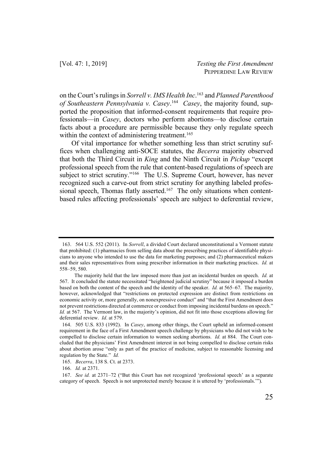on the Court's rulings in *Sorrell v. IMS Health Inc*. <sup>163</sup> and *Planned Parenthood of Southeastern Pennsylvania v. Casey*. 164 *Casey*, the majority found, supported the proposition that informed-consent requirements that require professionals—in *Casey*, doctors who perform abortions—to disclose certain facts about a procedure are permissible because they only regulate speech within the context of administering treatment.<sup>165</sup>

Of vital importance for whether something less than strict scrutiny suffices when challenging anti-SOCE statutes, the *Becerra* majority observed that both the Third Circuit in *King* and the Ninth Circuit in *Pickup* "except professional speech from the rule that content-based regulations of speech are subject to strict scrutiny."166 The U.S. Supreme Court, however, has never recognized such a carve-out from strict scrutiny for anything labeled professional speech, Thomas flatly asserted.<sup>167</sup> The only situations when contentbased rules affecting professionals' speech are subject to deferential review,

<sup>163.</sup> 564 U.S. 552 (2011). In *Sorrell*, a divided Court declared unconstitutional a Vermont statute that prohibited: (1) pharmacies from selling data about the prescribing practices of identifiable physicians to anyone who intended to use the data for marketing purposes; and (2) pharmaceutical makers and their sales representatives from using prescriber information in their marketing practices. *Id.* at 558–59, 580.

The majority held that the law imposed more than just an incidental burden on speech. *Id.* at 567. It concluded the statute necessitated "heightened judicial scrutiny" because it imposed a burden based on both the content of the speech and the identity of the speaker. *Id.* at 565–67. The majority, however, acknowledged that "restrictions on protected expression are distinct from restrictions on economic activity or, more generally, on nonexpressive conduct" and "that the First Amendment does not prevent restrictions directed at commerce or conduct from imposing incidental burdens on speech." *Id.* at 567. The Vermont law, in the majority's opinion, did not fit into those exceptions allowing for deferential review. *Id*. at 579.

<sup>164.</sup> 505 U.S. 833 (1992). In *Casey*, among other things, the Court upheld an informed-consent requirement in the face of a First Amendment speech challenge by physicians who did not wish to be compelled to disclose certain information to women seeking abortions. *Id.* at 884. The Court concluded that the physicians' First Amendment interest in not being compelled to disclose certain risks about abortion arose "only as part of the practice of medicine, subject to reasonable licensing and regulation by the State." *Id.*

<sup>165.</sup> *Becerra*, 138 S. Ct. at 2373.

<sup>166.</sup> *Id.* at 2371.

<sup>167.</sup> *See id.* at 2371–72 ("But this Court has not recognized 'professional speech' as a separate category of speech. Speech is not unprotected merely because it is uttered by 'professionals.'").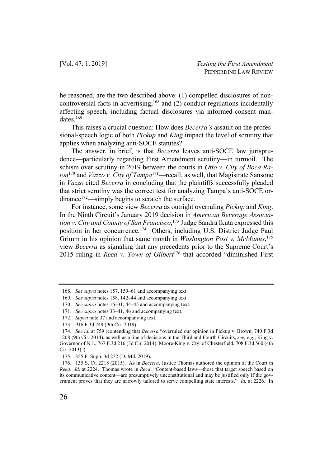he reasoned, are the two described above: (1) compelled disclosures of noncontroversial facts in advertising; <sup>168</sup> and (2) conduct regulations incidentally affecting speech, including factual disclosures via informed-consent mandates.<sup>169</sup>

This raises a crucial question: How does *Becerra's* assault on the professional-speech logic of both *Pickup* and *King* impact the level of scrutiny that applies when analyzing anti-SOCE statutes?

The answer, in brief, is that *Becerra* leaves anti-SOCE law jurisprudence—particularly regarding First Amendment scrutiny—in turmoil. The schism over scrutiny in 2019 between the courts in *Otto v. City of Boca Raton*<sup>170</sup> and *Vazzo v. City of Tampa*171—recall, as well, that Magistrate Sansone in *Vazzo* cited *Becerra* in concluding that the plaintiffs successfully pleaded that strict scrutiny was the correct test for analyzing Tampa's anti-SOCE ordinance<sup>172</sup>—simply begins to scratch the surface.

For instance, some view *Becerra* as outright overruling *Pickup* and *King*. In the Ninth Circuit's January 2019 decision in *American Beverage Association v. City and County of San Francisco*, <sup>173</sup> Judge Sandra Ikuta expressed this position in her concurrence.174 Others, including U.S. District Judge Paul Grimm in his opinion that same month in *Washington Post v. McManus*, 175 view *Becerra* as signaling that any precedents prior to the Supreme Court's 2015 ruling in *Reed v. Town of Gilbert*<sup>176</sup> that accorded "diminished First

<sup>168.</sup> *See supra* notes 157, 159–61 and accompanying text.

<sup>169.</sup> *See supra* notes 158, 142–44 and accompanying text.

<sup>170.</sup> *See supra* notes 16–31, 44–45 and accompanying text.

<sup>171.</sup> *See supra* notes 33–41, 46 and accompanying text.

<sup>172.</sup> *Supra* note 37 and accompanying text.

<sup>173.</sup> 916 F.3d 749 (9th Cir. 2019).

<sup>174.</sup> *See id.* at 759 (contending that *Becerra* "overruled our opinion in Pickup v. Brown, 740 F.3d 1208 (9th Cir. 2014), as well as a line of decisions in the Third and Fourth Circuits, *see, e.g.*, King v. Governor of N.J., 767 F.3d 216 (3d Cir. 2014); Moore-King v. Cty. of Chesterfield, 708 F.3d 560 (4th Cir. 2013)").

<sup>175.</sup> 355 F. Supp. 3d 272 (D. Md. 2019).

<sup>176.</sup> 135 S. Ct. 2218 (2015). As in *Becerra*, Justice Thomas authored the opinion of the Court in *Reed*. *Id*. at 2224. Thomas wrote in *Reed*: "Content-based laws—those that target speech based on its communicative content—are presumptively unconstitutional and may be justified only if the government proves that they are narrowly tailored to serve compelling state interests." *Id.* at 2226. In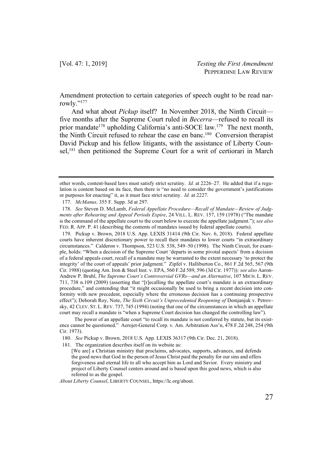Amendment protection to certain categories of speech ought to be read narrowly."<sup>177</sup>

And what about *Pickup* itself? In November 2018, the Ninth Circuit five months after the Supreme Court ruled in *Becerra*—refused to recall its prior mandate<sup>178</sup> upholding California's anti-SOCE law.<sup>179</sup> The next month, the Ninth Circuit refused to rehear the case en banc.180 Conversion therapist David Pickup and his fellow litigants, with the assistance of Liberty Counsel,<sup>181</sup> then petitioned the Supreme Court for a writ of certiorari in March

179. Pickup v. Brown, 2018 U.S. App. LEXIS 31414 (9th Cir. Nov. 6, 2018). Federal appellate courts have inherent discretionary power to recall their mandates to lower courts "in extraordinary circumstances." Calderon v. Thompson, 523 U.S. 538, 549–50 (1998). The Ninth Circuit, for example, holds: "When a decision of the Supreme Court 'departs in some pivotal aspects' from a decision of a federal appeals court, recall of a mandate may be warranted to the extent necessary 'to protect the integrity' of the court of appeals' prior judgment." Zipfel v. Halliburton Co., 861 F.2d 565, 567 (9th Cir. 1988) (quoting Am. Iron & Steel Inst. v. EPA, 560 F.2d 589, 596 (3d Cir. 1977))*; see also* Aaron-Andrew P. Bruhl, *The Supreme Court's Controversial GVRs—and an Alternative*, 107 MICH. L. REV. 711, 738 n.109 (2009) (asserting that "[r]ecalling the appellate court's mandate is an extraordinary procedure," and contending that "it might occasionally be used to bring a recent decision into conformity with new precedent, especially where the erroneous decision has a continuing prospective effect"); Deborah Roy, Note, *The Sixth Circuit's Unprecedented Reopening of* Demjanjuk v. Petrovsky, 42 CLEV. ST. L. REV. 737, 745 (1994) (noting that one of the circumstances in which an appellate court may recall a mandate is "when a Supreme Court decision has changed the controlling law").

*About Liberty Counsel*, LIBERTY COUNSEL, https://lc.org/about.

other words, content-based laws must satisfy strict scrutiny. *Id.* at 2226–27. He added that if a regulation is content based on its face, then there is "no need to consider the government's justifications or purposes for enacting" it, as it must face strict scrutiny. *Id.* at 2227.

<sup>177.</sup> *McManus,* 355 F. Supp. 3d at 297.

<sup>178.</sup> *See* Steven D. McLamb, *Federal Appellate Procedure—Recall of Mandate—Review of Judgments after Rehearing and Appeal Periods Expire*, 24 VILL. L. REV. 157, 159 (1978) ("The mandate is the command of the appellate court to the court below to execute the appellate judgment."); *see also* FED. R. APP. P. 41 (describing the contents of mandates issued by federal appellate courts).

The power of an appellate court "to recall its mandate is not conferred by statute, but its existence cannot be questioned." Aerojet-General Corp. v. Am. Arbitration Ass'n, 478 F.2d 248, 254 (9th Cir. 1973).

<sup>180.</sup> *See* Pickup v. Brown, 2018 U.S. App. LEXIS 36317 (9th Cir. Dec. 21, 2018).

<sup>181.</sup> The organization describes itself on its website as:

<sup>[</sup>We are] a Christian ministry that proclaims, advocates, supports, advances, and defends the good news that God in the person of Jesus Christ paid the penalty for our sins and offers forgiveness and eternal life to all who accept him as Lord and Savior. Every ministry and project of Liberty Counsel centers around and is based upon this good news, which is also referred to as the gospel.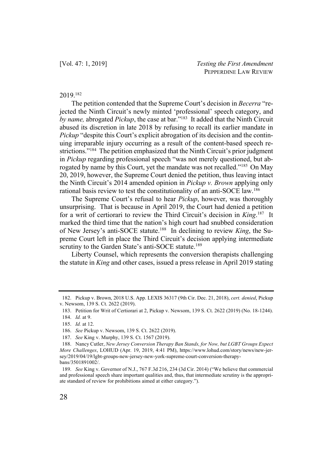## 2019.182

The petition contended that the Supreme Court's decision in *Becerra* "rejected the Ninth Circuit's newly minted 'professional' speech category, and *by name,* abrogated *Pickup*, the case at bar."183 It added that the Ninth Circuit abused its discretion in late 2018 by refusing to recall its earlier mandate in *Pickup* "despite this Court's explicit abrogation of its decision and the continuing irreparable injury occurring as a result of the content-based speech restrictions."184 The petition emphasized that the Ninth Circuit's prior judgment in *Pickup* regarding professional speech "was not merely questioned, but abrogated by name by this Court, yet the mandate was not recalled."185 On May 20, 2019, however, the Supreme Court denied the petition, thus leaving intact the Ninth Circuit's 2014 amended opinion in *Pickup v. Brown* applying only rational basis review to test the constitutionality of an anti-SOCE law.186

The Supreme Court's refusal to hear *Pickup*, however, was thoroughly unsurprising. That is because in April 2019, the Court had denied a petition for a writ of certiorari to review the Third Circuit's decision in *King*. 187 It marked the third time that the nation's high court had snubbed consideration of New Jersey's anti-SOCE statute.188 In declining to review *King*, the Supreme Court left in place the Third Circuit's decision applying intermediate scrutiny to the Garden State's anti-SOCE statute.<sup>189</sup>

Liberty Counsel, which represents the conversion therapists challenging the statute in *King* and other cases, issued a press release in April 2019 stating

<sup>182.</sup> Pickup v. Brown, 2018 U.S. App. LEXIS 36317 (9th Cir. Dec. 21, 2018), *cert. denied*, Pickup v. Newsom, 139 S. Ct. 2622 (2019).

<sup>183.</sup> Petition for Writ of Certiorari at 2, Pickup v. Newsom, 139 S. Ct. 2622 (2019) (No. 18-1244).

<sup>184.</sup> *Id.* at 9.

<sup>185.</sup> *Id.* at 12.

<sup>186.</sup> *See* Pickup v. Newsom, 139 S. Ct. 2622 (2019).

<sup>187.</sup> *See* King v. Murphy, 139 S. Ct. 1567 (2019).

<sup>188.</sup> Nancy Cutler, *New Jersey Conversion Therapy Ban Stands, for Now, but LGBT Groups Expect More Challenges*, LOHUD (Apr. 19, 2019, 4:41 PM), https://www.lohud.com/story/news/new-jersey/2019/04/19/lgbt-groups-new-jersey-new-york-supreme-court-conversion-therapybans/3501891002/.

<sup>189.</sup> *See* King v. Governor of N.J., 767 F.3d 216, 234 (3d Cir. 2014) ("We believe that commercial and professional speech share important qualities and, thus, that intermediate scrutiny is the appropriate standard of review for prohibitions aimed at either category.").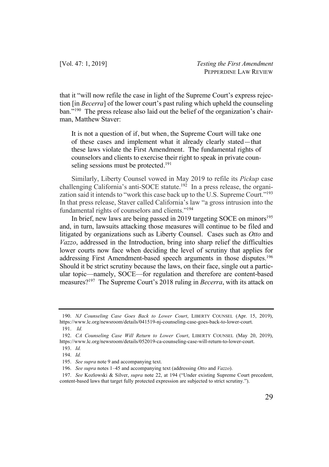that it "will now refile the case in light of the Supreme Court's express rejection [in *Becerra*] of the lower court's past ruling which upheld the counseling ban."<sup>190</sup> The press release also laid out the belief of the organization's chairman, Matthew Staver:

It is not a question of if, but when, the Supreme Court will take one of these cases and implement what it already clearly stated—that these laws violate the First Amendment. The fundamental rights of counselors and clients to exercise their right to speak in private counseling sessions must be protected.<sup>191</sup>

Similarly, Liberty Counsel vowed in May 2019 to refile its *Pickup* case challenging California's anti-SOCE statute.<sup>192</sup> In a press release, the organization said it intends to "work this case back up to the U.S. Supreme Court."193 In that press release, Staver called California's law "a gross intrusion into the fundamental rights of counselors and clients."194

In brief, new laws are being passed in 2019 targeting SOCE on minors<sup>195</sup> and, in turn, lawsuits attacking those measures will continue to be filed and litigated by organizations such as Liberty Counsel. Cases such as *Otto* and *Vazzo*, addressed in the Introduction, bring into sharp relief the difficulties lower courts now face when deciding the level of scrutiny that applies for addressing First Amendment-based speech arguments in those disputes.<sup>196</sup> Should it be strict scrutiny because the laws, on their face, single out a particular topic—namely, SOCE—for regulation and therefore are content-based measures?197 The Supreme Court's 2018 ruling in *Becerra*, with its attack on

<sup>190.</sup> *NJ Counseling Case Goes Back to Lower Court*, LIBERTY COUNSEL (Apr. 15, 2019), https://www.lc.org/newsroom/details/041519-nj-counseling-case-goes-back-to-lower-court.

<sup>191.</sup> *Id.*

<sup>192.</sup> *CA Counseling Case Will Return to Lower Court*, LIBERTY COUNSEL (May 20, 2019), https://www.lc.org/newsroom/details/052019-ca-counseling-case-will-return-to-lower-court.

<sup>193.</sup> *Id.* 194. *Id.*

<sup>195.</sup> *See supra* note 9 and accompanying text.

<sup>196.</sup> *See supra* notes 1–45 and accompanying text (addressing *Otto* and *Vazzo*).

<sup>197.</sup> *See* Kozlowski & Silver, *supra* note 22, at 194 ("Under existing Supreme Court precedent, content-based laws that target fully protected expression are subjected to strict scrutiny.").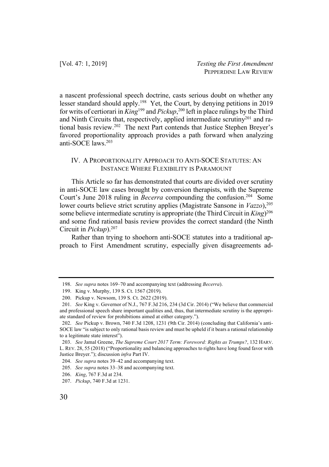a nascent professional speech doctrine, casts serious doubt on whether any lesser standard should apply.198 Yet, the Court, by denying petitions in 2019 for writs of certiorari in *King*<sup>199</sup> and *Pickup*, <sup>200</sup> left in place rulings by the Third and Ninth Circuits that, respectively, applied intermediate scrutiny201 and rational basis review.202 The next Part contends that Justice Stephen Breyer's favored proportionality approach provides a path forward when analyzing anti-SOCE laws<sup>203</sup>

## IV. A PROPORTIONALITY APPROACH TO ANTI-SOCE STATUTES: AN INSTANCE WHERE FLEXIBILITY IS PARAMOUNT

This Article so far has demonstrated that courts are divided over scrutiny in anti-SOCE law cases brought by conversion therapists, with the Supreme Court's June 2018 ruling in *Becerra* compounding the confusion.<sup>204</sup> Some lower courts believe strict scrutiny applies (Magistrate Sansone in *Vazzo*), 205 some believe intermediate scrutiny is appropriate (the Third Circuit in *King*) 206 and some find rational basis review provides the correct standard (the Ninth Circuit in *Pickup*).207

Rather than trying to shoehorn anti-SOCE statutes into a traditional approach to First Amendment scrutiny, especially given disagreements ad-

<sup>198.</sup> *See supra* notes 169–70 and accompanying text (addressing *Becerra*).

<sup>199.</sup> King v. Murphy, 139 S. Ct. 1567 (2019).

<sup>200.</sup> Pickup v. Newsom, 139 S. Ct. 2622 (2019).

<sup>201.</sup> *See* King v. Governor of N.J., 767 F.3d 216, 234 (3d Cir. 2014) ("We believe that commercial and professional speech share important qualities and, thus, that intermediate scrutiny is the appropriate standard of review for prohibitions aimed at either category.").

<sup>202.</sup> *See* Pickup v. Brown, 740 F.3d 1208, 1231 (9th Cir. 2014) (concluding that California's anti-SOCE law "is subject to only rational basis review and must be upheld if it bears a rational relationship to a legitimate state interest").

<sup>203.</sup> *See* Jamal Greene, *The Supreme Court 2017 Term: Foreword: Rights as Trumps?*, 132 HARV. L. REV. 28, 55 (2018) ("Proportionality and balancing approaches to rights have long found favor with Justice Breyer."); discussion *infra* Part IV.

<sup>204.</sup> *See supra* notes 39–42 and accompanying text.

<sup>205.</sup> *See supra* notes 33–38 and accompanying text.

<sup>206.</sup> *King*, 767 F.3d at 234.

<sup>207.</sup> *Pickup*, 740 F.3d at 1231.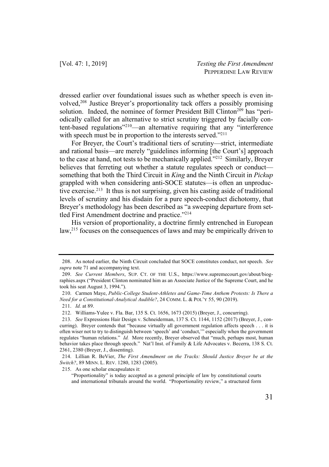dressed earlier over foundational issues such as whether speech is even involved,<sup>208</sup> Justice Breyer's proportionality tack offers a possibly promising solution. Indeed, the nominee of former President Bill Clinton<sup>209</sup> has "periodically called for an alternative to strict scrutiny triggered by facially content-based regulations"210—an alternative requiring that any "interference with speech must be in proportion to the interests served."<sup>211</sup>

For Breyer, the Court's traditional tiers of scrutiny—strict, intermediate and rational basis—are merely "guidelines informing [the Court's] approach to the case at hand, not tests to be mechanically applied."212 Similarly, Breyer believes that ferreting out whether a statute regulates speech or conduct something that both the Third Circuit in *King* and the Ninth Circuit in *Pickup* grappled with when considering anti-SOCE statutes—is often an unproductive exercise.213 It thus is not surprising, given his casting aside of traditional levels of scrutiny and his disdain for a pure speech-conduct dichotomy, that Breyer's methodology has been described as "a sweeping departure from settled First Amendment doctrine and practice."<sup>214</sup>

His version of proportionality, a doctrine firmly entrenched in European law,<sup>215</sup> focuses on the consequences of laws and may be empirically driven to

215. As one scholar encapsulates it:

<sup>208.</sup> As noted earlier, the Ninth Circuit concluded that SOCE constitutes conduct, not speech. *See supra* note 71 and accompanying text.

<sup>209.</sup> *See Current Members*, SUP. CT. OF THE U.S., https://www.supremecourt.gov/about/biographies.aspx ("President Clinton nominated him as an Associate Justice of the Supreme Court, and he took his seat August 3, 1994.").

<sup>210.</sup> Carmen Maye, *Public-College Student-Athletes and Game-Time Anthem Protests: Is There a Need for a Constitutional-Analytical Audible?*, 24 COMM. L. & POL'Y 55, 90 (2019).

<sup>211.</sup> *Id.* at 89.

<sup>212.</sup> Williams-Yulee v. Fla. Bar, 135 S. Ct. 1656, 1673 (2015) (Breyer, J., concurring).

<sup>213.</sup> *See* Expressions Hair Design v. Schneiderman, 137 S. Ct. 1144, 1152 (2017) (Breyer, J., concurring). Breyer contends that "because virtually all government regulation affects speech . . . it is often wiser not to try to distinguish between 'speech' and 'conduct,'" especially when the government regulates "human relations." *Id.* More recently, Breyer observed that "much, perhaps most, human behavior takes place through speech." Nat'l Inst. of Family & Life Advocates v. Becerra, 138 S. Ct. 2361, 2380 (Breyer, J., dissenting).

<sup>214.</sup> Lillian R. BeVier, *The First Amendment on the Tracks: Should Justice Breyer be at the Switch?*, 89 MINN. L. REV. 1280, 1283 (2005).

<sup>&</sup>quot;Proportionality" is today accepted as a general principle of law by constitutional courts and international tribunals around the world. "Proportionality review," a structured form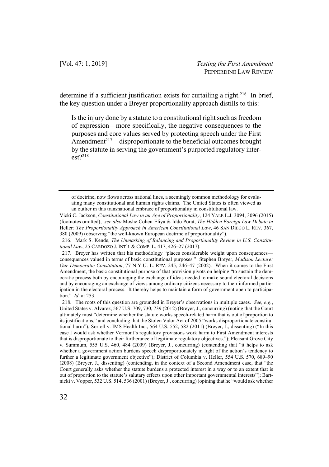determine if a sufficient justification exists for curtailing a right.<sup>216</sup> In brief, the key question under a Breyer proportionality approach distills to this:

Is the injury done by a statute to a constitutional right such as freedom of expression—more specifically, the negative consequences to the purposes and core values served by protecting speech under the First Amendment $2^{17}$ —disproportionate to the beneficial outcomes brought by the statute in serving the government's purported regulatory inter $est$ ?<sup>218</sup>

of doctrine, now flows across national lines, a seemingly common methodology for evaluating many constitutional and human rights claims. The United States is often viewed as an outlier in this transnational embrace of proportionality in constitutional law.

Vicki C. Jackson, *Constitutional Law in an Age of Proportionality*, 124 YALE L.J. 3094, 3096 (2015) (footnotes omitted); *see also* Moshe Cohen-Eliya & Iddo Porat, *The Hidden Foreign Law Debate in*  Heller*: The Proportionality Approach in American Constitutional Law*, 46 SAN DIEGO L. REV. 367, 380 (2009) (observing "the well-known European doctrine of proportionality").

216. Mark S. Kende, *The Unmasking of Balancing and Proportionality Review in U.S. Constitutional Law*, 25 CARDOZO J. INT'L & COMP. L. 417, 426–27 (2017).

217. Breyer has written that his methodology "places considerable weight upon consequences consequences valued in terms of basic constitutional purposes." Stephen Breyer, *Madison Lecture: Our Democratic Constitution*, 77 N.Y.U. L. REV. 245, 246–47 (2002). When it comes to the First Amendment, the basic constitutional purpose of that provision pivots on helping "to sustain the democratic process both by encouraging the exchange of ideas needed to make sound electoral decisions and by encouraging an exchange of views among ordinary citizens necessary to their informed participation in the electoral process. It thereby helps to maintain a form of government open to participation." *Id.* at 253.

218. The roots of this question are grounded in Breyer's observations in multiple cases. *See, e.g.*, United States v. Alvarez, 567 U.S. 709, 730, 739 (2012) (Breyer, J., concurring) (noting that the Court ultimately must "determine whether the statute works speech-related harm that is out of proportion to its justifications," and concluding that the Stolen Valor Act of 2005 "works disproportionate constitutional harm"); Sorrell v. IMS Health Inc., 564 U.S. 552, 582 (2011) (Breyer, J., dissenting) ("In this case I would ask whether Vermont's regulatory provisions work harm to First Amendment interests that is disproportionate to their furtherance of legitimate regulatory objectives."); Pleasant Grove City v. Summum, 555 U.S. 460, 484 (2009) (Breyer, J., concurring) (contending that "it helps to ask whether a government action burdens speech disproportionately in light of the action's tendency to further a legitimate government objective"); District of Columbia v. Heller, 554 U.S. 570, 689–90 (2008) (Breyer, J., dissenting) (contending, in the context of a Second Amendment case, that "the Court generally asks whether the statute burdens a protected interest in a way or to an extent that is out of proportion to the statute's salutary effects upon other important governmental interests"); Bartnicki v. Vopper, 532 U.S. 514, 536 (2001) (Breyer, J., concurring) (opining that he "would ask whether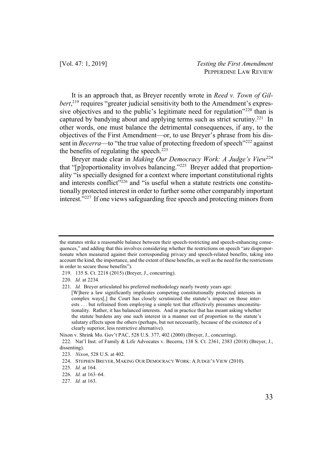It is an approach that, as Breyer recently wrote in *Reed v. Town of Gil*bert,<sup>219</sup> requires "greater judicial sensitivity both to the Amendment's expressive objectives and to the public's legitimate need for regulation"<sup>220</sup> than is captured by bandying about and applying terms such as strict scrutiny.221 In other words, one must balance the detrimental consequences, if any, to the objectives of the First Amendment—or, to use Breyer's phrase from his dissent in *Becerra*—to "the true value of protecting freedom of speech"<sup>222</sup> against the benefits of regulating the speech. $^{223}$ 

Breyer made clear in *Making Our Democracy Work: A Judge's View*<sup>224</sup> that "[p]roportionality involves balancing."225 Breyer added that proportionality "is specially designed for a context where important constitutional rights and interests conflict"<sup>226</sup> and "is useful when a statute restricts one constitutionally protected interest in order to further some other comparably important interest."227 If one views safeguarding free speech and protecting minors from

the statutes strike a reasonable balance between their speech-restricting and speech-enhancing consequences," and adding that this involves considering whether the restrictions on speech "are disproportionate when measured against their corresponding privacy and speech-related benefits, taking into account the kind, the importance, and the extent of these benefits, as well as the need for the restrictions in order to secure those benefits").

<sup>219.</sup> 135 S. Ct. 2218 (2015) (Breyer, J., concurring).

<sup>220.</sup> *Id.* at 2234.

<sup>221.</sup> *Id.* Breyer articulated his preferred methodology nearly twenty years ago:

<sup>[</sup>W]here a law significantly implicates competing constitutionally protected interests in complex ways[,] the Court has closely scrutinized the statute's impact on those interests . . . but refrained from employing a simple test that effectively presumes unconstitutionality. Rather, it has balanced interests. And in practice that has meant asking whether the statute burdens any one such interest in a manner out of proportion to the statute's salutary effects upon the others (perhaps, but not necessarily, because of the existence of a clearly superior, less restrictive alternative).

Nixon v. Shrink Mo. Gov't PAC, 528 U.S. 377, 402 (2000) (Breyer, J., concurring).

<sup>222.</sup> Nat'l Inst. of Family & Life Advocates v. Becerra, 138 S. Ct. 2361, 2383 (2018) (Breyer, J., dissenting).

<sup>223.</sup> *Nixon*, 528 U.S. at 402.

<sup>224.</sup> STEPHEN BREYER, MAKING OUR DEMOCRACY WORK: A JUDGE'S VIEW (2010).

<sup>225.</sup> *Id.* at 164.

<sup>226.</sup> *Id.* at 163–64.

<sup>227.</sup> *Id.* at 163.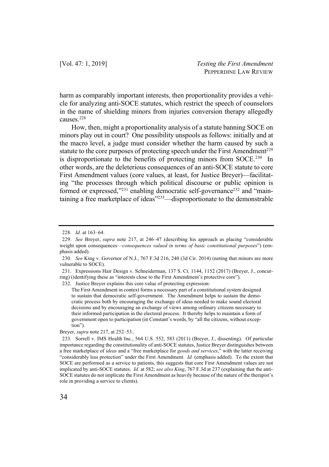harm as comparably important interests, then proportionality provides a vehicle for analyzing anti-SOCE statutes, which restrict the speech of counselors in the name of shielding minors from injuries conversion therapy allegedly causes.228

How, then, might a proportionality analysis of a statute banning SOCE on minors play out in court? One possibility unspools as follows: initially and at the macro level, a judge must consider whether the harm caused by such a statute to the core purposes of protecting speech under the First Amendment<sup>229</sup> is disproportionate to the benefits of protecting minors from SOCE.<sup>230</sup> In other words, are the deleterious consequences of an anti-SOCE statute to core First Amendment values (core values, at least, for Justice Breyer)—facilitating "the processes through which political discourse or public opinion is formed or expressed," $231$  enabling democratic self-governance $232$  and "maintaining a free marketplace of ideas"233—disproportionate to the demonstrable

232. Justice Breyer explains this core value of protecting expression:

The First Amendment in context forms a necessary part of a constitutional system designed to sustain that democratic self-government. The Amendment helps to sustain the democratic process both by encouraging the exchange of ideas needed to make sound electoral decisions and by encouraging an exchange of views among ordinary citizens necessary to their informed participation in the electoral process. It thereby helps to maintain a form of government open to participation (in Constant's words, by "all the citizens, without exception").

Breyer, *supra* note 217, at 252–53..

<sup>228.</sup> *Id.* at 163–64.

<sup>229.</sup> *See* Breyer, *supra* note 217, at 246–47 (describing his approach as placing "considerable weight upon consequences—*consequences valued in terms of basic constitutional purposes*") (emphasis added).

<sup>230.</sup> *See* King v. Governor of N.J., 767 F.3d 216, 240 (3d Cir. 2014) (noting that minors are more vulnerable to SOCE).

<sup>231.</sup> Expressions Hair Design v. Schneiderman, 137 S. Ct. 1144, 1152 (2017) (Breyer, J., concurring) (identifying these as "interests close to the First Amendment's protective core").

<sup>233.</sup> Sorrell v. IMS Health Inc., 564 U.S. 552, 583 (2011) (Breyer, J., dissenting). Of particular importance regarding the constitutionality of anti-SOCE statutes, Justice Breyer distinguishes between a free marketplace of *ideas* and a "free marketplace for *goods and services*," with the latter receiving "considerably less protection" under the First Amendment. *Id.* (emphasis added). To the extent that SOCE are performed as a service to patients, this suggests that core First Amendment values are not implicated by anti-SOCE statutes. *Id.* at 582; *see also King*, 767 F.3d at 237 (explaining that the anti-SOCE statutes do not implicate the First Amendment as heavily because of the nature of the therapist's role in providing a service to clients).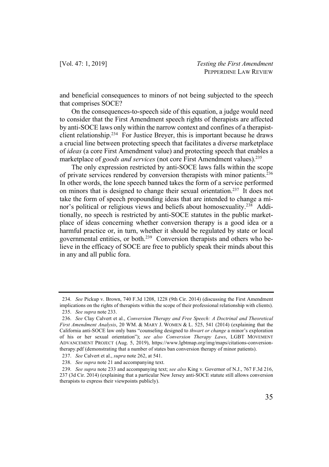and beneficial consequences to minors of not being subjected to the speech that comprises SOCE?

On the consequences-to-speech side of this equation, a judge would need to consider that the First Amendment speech rights of therapists are affected by anti-SOCE laws only within the narrow context and confines of a therapistclient relationship.234 For Justice Breyer, this is important because he draws a crucial line between protecting speech that facilitates a diverse marketplace of *ideas* (a core First Amendment value) and protecting speech that enables a marketplace of *goods and services* (not core First Amendment values).<sup>235</sup>

The only expression restricted by anti-SOCE laws falls within the scope of private services rendered by conversion therapists with minor patients.236 In other words, the lone speech banned takes the form of a service performed on minors that is designed to change their sexual orientation.237 It does not take the form of speech propounding ideas that are intended to change a minor's political or religious views and beliefs about homosexuality.238 Additionally, no speech is restricted by anti-SOCE statutes in the public marketplace of ideas concerning whether conversion therapy is a good idea or a harmful practice or, in turn, whether it should be regulated by state or local governmental entities, or both. 239 Conversion therapists and others who believe in the efficacy of SOCE are free to publicly speak their minds about this in any and all public fora.

<sup>234.</sup> *See* Pickup v. Brown, 740 F.3d 1208, 1228 (9th Cir. 2014) (discussing the First Amendment implications on the rights of therapists within the scope of their professional relationship with clients).

<sup>235.</sup> *See supra* note 233.

<sup>236.</sup> *See* Clay Calvert et al., *Conversion Therapy and Free Speech: A Doctrinal and Theoretical First Amendment Analysis*, 20 WM. & MARY J. WOMEN & L. 525, 541 (2014) (explaining that the California anti-SOCE law only bans "counseling designed to *thwart or change* a minor's exploration of his or her sexual orientation"); *see also Conversion Therapy Laws*, LGBT MOVEMENT ADVANCEMENT PROJECT (Aug. 5, 2019), https://www.lgbtmap.org/img/maps/citations-conversiontherapy.pdf (demonstrating that a number of states ban conversion therapy of minor patients).

<sup>237.</sup> *See* Calvert et al., *supra* note 262, at 541.

<sup>238.</sup> *See supra* note 21 and accompanying text.

<sup>239.</sup> *See supra* note 233 and accompanying text; *see also* King v. Governor of N.J., 767 F.3d 216, 237 (3d Cir. 2014) (explaining that a particular New Jersey anti-SOCE statute still allows conversion therapists to express their viewpoints publicly).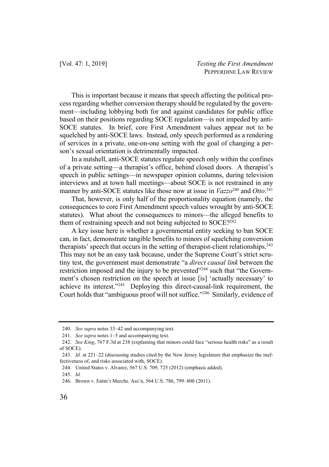This is important because it means that speech affecting the political process regarding whether conversion therapy should be regulated by the government—including lobbying both for and against candidates for public office based on their positions regarding SOCE regulation—is not impeded by anti-SOCE statutes. In brief, core First Amendment values appear not to be squelched by anti-SOCE laws. Instead, only speech performed as a rendering of services in a private, one-on-one setting with the goal of changing a person's sexual orientation is detrimentally impacted.

In a nutshell, anti-SOCE statutes regulate speech only within the confines of a private setting—a therapist's office, behind closed doors. A therapist's speech in public settings—in newspaper opinion columns, during television interviews and at town hall meetings—about SOCE is not restrained in any manner by anti-SOCE statutes like those now at issue in *Vazzo*<sup>240</sup> and *Otto*. 241

That, however, is only half of the proportionality equation (namely, the consequences to core First Amendment speech values wrought by anti-SOCE statutes). What about the consequences to minors—the alleged benefits to them of restraining speech and not being subjected to SOCE?<sup>242</sup>

A key issue here is whether a governmental entity seeking to ban SOCE can, in fact, demonstrate tangible benefits to minors of squelching conversion therapists' speech that occurs in the setting of therapist-client relationships.243 This may not be an easy task because, under the Supreme Court's strict scrutiny test, the government must demonstrate "a *direct causal link* between the restriction imposed and the injury to be prevented"<sup>244</sup> such that "the Government's chosen restriction on the speech at issue [is] 'actually necessary' to achieve its interest."245 Deploying this direct-causal-link requirement, the Court holds that "ambiguous proof will not suffice."246 Similarly, evidence of

<sup>240.</sup> *See supra* notes 33–42 and accompanying text.

<sup>241.</sup> *See supra* notes 1–5 and accompanying text.

<sup>242.</sup> *See King*, 767 F.3d at 238 (explaining that minors could face "serious health risks" as a result of SOCE).

<sup>243.</sup> *Id.* at 221–22 (discussing studies cited by the New Jersey legislature that emphasize the ineffectiveness of, and risks associated with, SOCE).

<sup>244.</sup> United States v. Alvarez, 567 U.S. 709, 725 (2012) (emphasis added).

<sup>245.</sup> *Id.*

<sup>246.</sup> Brown v. Entm't Merchs. Ass'n, 564 U.S. 786, 799–800 (2011).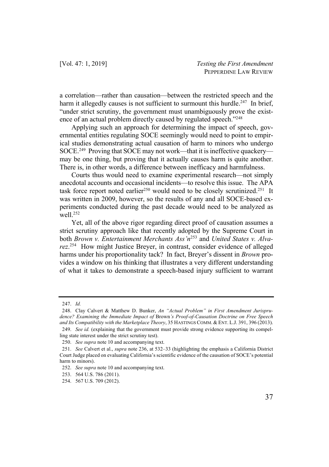a correlation—rather than causation—between the restricted speech and the harm it allegedly causes is not sufficient to surmount this hurdle.<sup>247</sup> In brief, "under strict scrutiny, the government must unambiguously prove the existence of an actual problem directly caused by regulated speech."248

Applying such an approach for determining the impact of speech, governmental entities regulating SOCE seemingly would need to point to empirical studies demonstrating actual causation of harm to minors who undergo SOCE. 249 Proving that SOCE may not work—that it is ineffective quackery may be one thing, but proving that it actually causes harm is quite another. There is, in other words, a difference between inefficacy and harmfulness.

Courts thus would need to examine experimental research—not simply anecdotal accounts and occasional incidents—to resolve this issue. The APA task force report noted earlier<sup>250</sup> would need to be closely scrutinized.<sup>251</sup> It was written in 2009, however, so the results of any and all SOCE-based experiments conducted during the past decade would need to be analyzed as well.252

Yet, all of the above rigor regarding direct proof of causation assumes a strict scrutiny approach like that recently adopted by the Supreme Court in both *Brown v. Entertainment Merchants Ass'n*<sup>253</sup> and *United States v. Alvarez*. 254 How might Justice Breyer, in contrast, consider evidence of alleged harms under his proportionality tack? In fact, Breyer's dissent in *Brown* provides a window on his thinking that illustrates a very different understanding of what it takes to demonstrate a speech-based injury sufficient to warrant

<sup>247.</sup> *Id.*

<sup>248.</sup> Clay Calvert & Matthew D. Bunker, *An "Actual Problem" in First Amendment Jurisprudence? Examining the Immediate Impact of* Brown*'s Proof-of-Causation Doctrine on Free Speech and Its Compatibility with the Marketplace Theory*, 35 HASTINGS COMM. & ENT. L.J. 391, 396 (2013).

<sup>249.</sup> *See id.* (explaining that the government must provide strong evidence supporting its compelling state interest under the strict scrutiny test).

<sup>250.</sup> *See supra* note 10 and accompanying text.

<sup>251.</sup> *See* Calvert et al., *supra* note 236, at 532–33 (highlighting the emphasis a California District Court Judge placed on evaluating California's scientific evidence of the causation of SOCE's potential harm to minors).

<sup>252.</sup> *See supra* note 10 and accompanying text.

<sup>253.</sup> 564 U.S. 786 (2011).

<sup>254.</sup> 567 U.S. 709 (2012).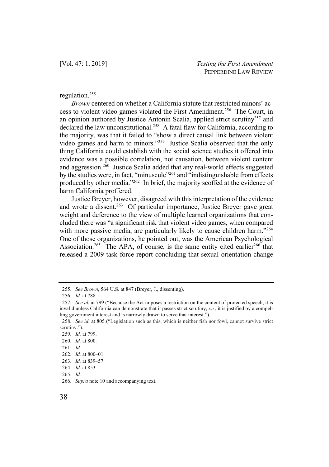## regulation.255

*Brown* centered on whether a California statute that restricted minors' access to violent video games violated the First Amendment.256 The Court, in an opinion authored by Justice Antonin Scalia, applied strict scrutiny257 and declared the law unconstitutional.258 A fatal flaw for California, according to the majority, was that it failed to "show a direct causal link between violent video games and harm to minors."259 Justice Scalia observed that the only thing California could establish with the social science studies it offered into evidence was a possible correlation, not causation, between violent content and aggression.260 Justice Scalia added that any real-world effects suggested by the studies were, in fact, "minuscule"261 and "indistinguishable from effects produced by other media."262 In brief, the majority scoffed at the evidence of harm California proffered.

Justice Breyer, however, disagreed with this interpretation of the evidence and wrote a dissent.<sup>263</sup> Of particular importance, Justice Breyer gave great weight and deference to the view of multiple learned organizations that concluded there was "a significant risk that violent video games, when compared with more passive media, are particularly likely to cause children harm."<sup>264</sup> One of those organizations, he pointed out, was the American Psychological Association.<sup>265</sup> The APA, of course, is the same entity cited earlier<sup>266</sup> that released a 2009 task force report concluding that sexual orientation change

<sup>255.</sup> *See Brown*, 564 U.S. at 847 (Breyer, J., dissenting).

<sup>256.</sup> *Id.* at 788.

<sup>257.</sup> *See id.* at 799 ("Because the Act imposes a restriction on the content of protected speech, it is invalid unless California can demonstrate that it passes strict scrutiny, *i.e.*, it is justified by a compelling government interest and is narrowly drawn to serve that interest.").

<sup>258.</sup> *See id.* at 805 ("Legislation such as this, which is neither fish nor fowl, cannot survive strict scrutiny.").

<sup>259.</sup> *Id.* at 799.

<sup>260.</sup> *Id.* at 800.

<sup>261.</sup> *Id.*

<sup>262.</sup> *Id.* at 800–01.

<sup>263.</sup> *Id.* at 839–57.

<sup>264.</sup> *Id.* at 853.

<sup>265.</sup> *Id.*

<sup>266.</sup> *Supra* note 10 and accompanying text.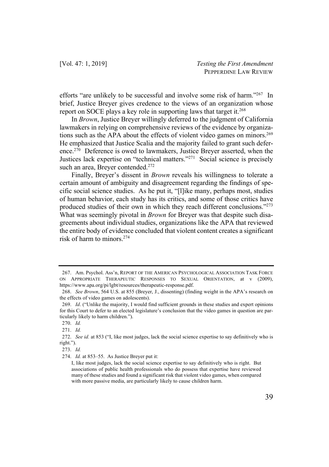efforts "are unlikely to be successful and involve some risk of harm."267 In brief, Justice Breyer gives credence to the views of an organization whose report on SOCE plays a key role in supporting laws that target it.<sup>268</sup>

In *Brown*, Justice Breyer willingly deferred to the judgment of California lawmakers in relying on comprehensive reviews of the evidence by organizations such as the APA about the effects of violent video games on minors.<sup>269</sup> He emphasized that Justice Scalia and the majority failed to grant such deference.270 Deference is owed to lawmakers, Justice Breyer asserted, when the Justices lack expertise on "technical matters."271 Social science is precisely such an area, Breyer contended.<sup>272</sup>

Finally, Breyer's dissent in *Brown* reveals his willingness to tolerate a certain amount of ambiguity and disagreement regarding the findings of specific social science studies. As he put it, "[l]ike many, perhaps most, studies of human behavior, each study has its critics, and some of those critics have produced studies of their own in which they reach different conclusions."273 What was seemingly pivotal in *Brown* for Breyer was that despite such disagreements about individual studies, organizations like the APA that reviewed the entire body of evidence concluded that violent content creates a significant risk of harm to minors.274

<sup>267.</sup> Am. Psychol. Ass'n, REPORT OF THE AMERICAN PSYCHOLOGICAL ASSOCIATION TASK FORCE ON APPROPRIATE THERAPEUTIC RESPONSES TO SEXUAL ORIENTATION, at v (2009), https://www.apa.org/pi/lgbt/resources/therapeutic-response.pdf.

<sup>268.</sup> *See Brown*, 564 U.S. at 855 (Breyer, J., dissenting) (finding weight in the APA's research on the effects of video games on adolescents).

<sup>269.</sup> *Id*. ("Unlike the majority, I would find sufficient grounds in these studies and expert opinions for this Court to defer to an elected legislature's conclusion that the video games in question are particularly likely to harm children.").

<sup>270.</sup> *Id.*

<sup>271.</sup> *Id.*

<sup>272.</sup> *See id.* at 853 ("I, like most judges, lack the social science expertise to say definitively who is right.").

<sup>273.</sup> *Id.*

<sup>274.</sup> *Id.* at 853–55. As Justice Breyer put it:

I, like most judges, lack the social science expertise to say definitively who is right. But associations of public health professionals who do possess that expertise have reviewed many of these studies and found a significant risk that violent video games, when compared with more passive media, are particularly likely to cause children harm.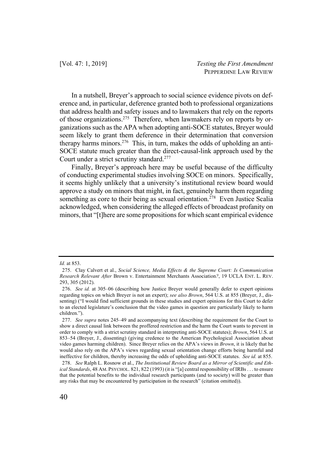In a nutshell, Breyer's approach to social science evidence pivots on deference and, in particular, deference granted both to professional organizations that address health and safety issues and to lawmakers that rely on the reports of those organizations.275 Therefore, when lawmakers rely on reports by organizations such as the APA when adopting anti-SOCE statutes, Breyer would seem likely to grant them deference in their determination that conversion therapy harms minors.<sup>276</sup> This, in turn, makes the odds of upholding an anti-SOCE statute much greater than the direct-causal-link approach used by the Court under a strict scrutiny standard.277

Finally, Breyer's approach here may be useful because of the difficulty of conducting experimental studies involving SOCE on minors. Specifically, it seems highly unlikely that a university's institutional review board would approve a study on minors that might, in fact, genuinely harm them regarding something as core to their being as sexual orientation.<sup>278</sup> Even Justice Scalia acknowledged, when considering the alleged effects of broadcast profanity on minors, that "[t]here are some propositions for which scant empirical evidence

*Id.* at 853.

<sup>275.</sup> Clay Calvert et al., *Social Science, Media Effects & the Supreme Court: Is Communication Research Relevant After* Brown v. Entertainment Merchants Association*?*, 19 UCLA ENT. L. REV. 293, 305 (2012).

<sup>276.</sup> *See id.* at 305–06 (describing how Justice Breyer would generally defer to expert opinions regarding topics on which Breyer is not an expert); *see also Brown*, 564 U.S. at 855 (Breyer, J., dissenting) ("I would find sufficient grounds in these studies and expert opinions for this Court to defer to an elected legislature's conclusion that the video games in question are particularly likely to harm children.").

<sup>277.</sup> *See supra* notes 245–49 and accompanying text (describing the requirement for the Court to show a direct causal link between the proffered restriction and the harm the Court wants to prevent in order to comply with a strict scrutiny standard in interpreting anti-SOCE statutes); *Brown*, 564 U.S. at 853–54 (Breyer, J., dissenting) (giving credence to the American Psychological Association about video games harming children). Since Breyer relies on the APA's views in *Brown*, it is likely that he would also rely on the APA's views regarding sexual orientation change efforts being harmful and ineffective for children, thereby increasing the odds of upholding anti-SOCE statutes. *See id.* at 855.

<sup>278.</sup> *See* Ralph L. Rosnow et al., *The Institutional Review Board as a Mirror of Scientific and Ethical Standards*, 48 AM. PSYCHOL. 821, 822 (1993) (it is "[a] central responsibility of IRBs . . . to ensure that the potential benefits to the individual research participants (and to society) will be greater than any risks that may be encountered by participation in the research" (citation omitted)).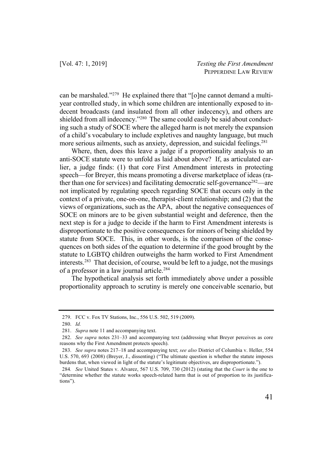can be marshaled."279 He explained there that "[o]ne cannot demand a multiyear controlled study, in which some children are intentionally exposed to indecent broadcasts (and insulated from all other indecency), and others are shielded from all indecency."280 The same could easily be said about conducting such a study of SOCE where the alleged harm is not merely the expansion of a child's vocabulary to include expletives and naughty language, but much more serious ailments, such as anxiety, depression, and suicidal feelings.<sup>281</sup>

Where, then, does this leave a judge if a proportionality analysis to an anti-SOCE statute were to unfold as laid about above? If, as articulated earlier, a judge finds: (1) that core First Amendment interests in protecting speech—for Breyer, this means promoting a diverse marketplace of ideas (rather than one for services) and facilitating democratic self-governance<sup>282</sup>—are not implicated by regulating speech regarding SOCE that occurs only in the context of a private, one-on-one, therapist-client relationship; and (2) that the views of organizations, such as the APA, about the negative consequences of SOCE on minors are to be given substantial weight and deference, then the next step is for a judge to decide if the harm to First Amendment interests is disproportionate to the positive consequences for minors of being shielded by statute from SOCE. This, in other words, is the comparison of the consequences on both sides of the equation to determine if the good brought by the statute to LGBTQ children outweighs the harm worked to First Amendment interests.283 That decision, of course, would be left to a judge, not the musings of a professor in a law journal article.284

The hypothetical analysis set forth immediately above under a possible proportionality approach to scrutiny is merely one conceivable scenario, but

<sup>279.</sup> FCC v. Fox TV Stations, Inc., 556 U.S. 502, 519 (2009).

<sup>280.</sup> *Id.*

<sup>281.</sup> *Supra* note 11 and accompanying text.

<sup>282.</sup> *See supra* notes 231–33 and accompanying text (addressing what Breyer perceives as core reasons why the First Amendment protects speech).

<sup>283.</sup> *See supra* notes 217–18 and accompanying text; *see also* District of Columbia v. Heller, 554 U.S. 570, 693 (2008) (Breyer, J., dissenting) ("The ultimate question is whether the statute imposes burdens that, when viewed in light of the statute's legitimate objectives, are disproportionate.").

<sup>284</sup>*. See* United States v. Alvarez, 567 U.S. 709, 730 (2012) (stating that the *Court* is the one to "determine whether the statute works speech-related harm that is out of proportion to its justifications").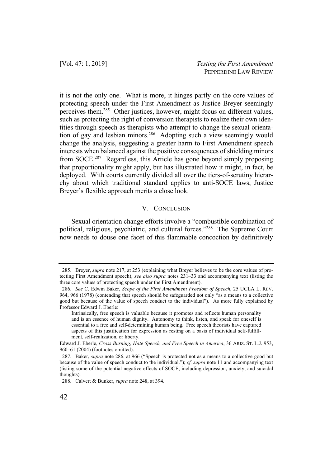[Vol. 47: 1, 2019] *Testing the First Amendment* PEPPERDINE LAW REVIEW

it is not the only one. What is more, it hinges partly on the core values of protecting speech under the First Amendment as Justice Breyer seemingly perceives them.285 Other justices, however, might focus on different values, such as protecting the right of conversion therapists to realize their own identities through speech as therapists who attempt to change the sexual orientation of gay and lesbian minors.<sup>286</sup> Adopting such a view seemingly would change the analysis, suggesting a greater harm to First Amendment speech interests when balanced against the positive consequences of shielding minors from SOCE.287 Regardless, this Article has gone beyond simply proposing that proportionality might apply, but has illustrated how it might, in fact, be deployed. With courts currently divided all over the tiers-of-scrutiny hierarchy about which traditional standard applies to anti-SOCE laws, Justice Breyer's flexible approach merits a close look.

### V. CONCLUSION

Sexual orientation change efforts involve a "combustible combination of political, religious, psychiatric, and cultural forces."288 The Supreme Court now needs to douse one facet of this flammable concoction by definitively

<sup>285.</sup> Breyer, *supra* note 217, at 253 (explaining what Breyer believes to be the core values of protecting First Amendment speech); *see also supra* notes 231–33 and accompanying text (listing the three core values of protecting speech under the First Amendment).

<sup>286.</sup> *See* C. Edwin Baker, *Scope of the First Amendment Freedom of Speech*, 25 UCLA L. REV. 964, 966 (1978) (contending that speech should be safeguarded not only "as a means to a collective good but because of the value of speech conduct to the individual"). As more fully explained by Professor Edward J. Eberle:

Intrinsically, free speech is valuable because it promotes and reflects human personality and is an essence of human dignity. Autonomy to think, listen, and speak for oneself is essential to a free and self-determining human being. Free speech theorists have captured aspects of this justification for expression as resting on a basis of individual self-fulfillment, self-realization, or liberty.

Edward J. Eberle, *Cross Burning, Hate Speech, and Free Speech in America*, 36 ARIZ. ST. L.J. 953, 960–61 (2004) (footnotes omitted).

<sup>287.</sup> Baker, *supra* note 286, at 966 ("Speech is protected not as a means to a collective good but because of the value of speech conduct to the individual."); *cf. supra* note 11 and accompanying text (listing some of the potential negative effects of SOCE, including depression, anxiety, and suicidal thoughts).

<sup>288.</sup> Calvert & Bunker, *supra* note 248, at 394.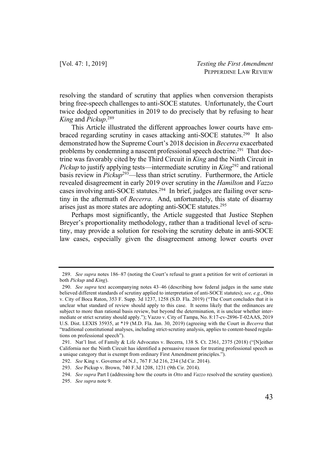resolving the standard of scrutiny that applies when conversion therapists bring free-speech challenges to anti-SOCE statutes. Unfortunately, the Court twice dodged opportunities in 2019 to do precisely that by refusing to hear *King* and *Pickup*. 289

This Article illustrated the different approaches lower courts have embraced regarding scrutiny in cases attacking anti-SOCE statutes.290 It also demonstrated how the Supreme Court's 2018 decision in *Becerra* exacerbated problems by condemning a nascent professional speech doctrine.291 That doctrine was favorably cited by the Third Circuit in *King* and the Ninth Circuit in *Pickup* to justify applying tests—intermediate scrutiny in *King*<sup>292</sup> and rational basis review in *Pickup*293—less than strict scrutiny. Furthermore, the Article revealed disagreement in early 2019 over scrutiny in the *Hamilton* and *Vazzo* cases involving anti-SOCE statutes.294 In brief, judges are flailing over scrutiny in the aftermath of *Becerra*. And, unfortunately, this state of disarray arises just as more states are adopting anti-SOCE statutes.295

Perhaps most significantly, the Article suggested that Justice Stephen Breyer's proportionality methodology, rather than a traditional level of scrutiny, may provide a solution for resolving the scrutiny debate in anti-SOCE law cases, especially given the disagreement among lower courts over

<sup>289.</sup> *See supra* notes 186–87 (noting the Court's refusal to grant a petition for writ of certiorari in both *Pickup* and *King*).

<sup>290.</sup> *See supra* text accompanying notes 43–46 (describing how federal judges in the same state believed different standards of scrutiny applied to interpretation of anti-SOCE statutes); *see, e.g.*, Otto v. City of Boca Raton, 353 F. Supp. 3d 1237, 1258 (S.D. Fla. 2019) ("The Court concludes that it is unclear what standard of review should apply to this case. It seems likely that the ordinances are subject to more than rational basis review, but beyond the determination, it is unclear whether intermediate or strict scrutiny should apply."); Vazzo v. City of Tampa, No. 8:17-cv-2896-T-02AAS, 2019 U.S. Dist. LEXIS 35935, at \*19 (M.D. Fla. Jan. 30, 2019) (agreeing with the Court in *Becerra* that "traditional constitutional analyses, including strict-scrutiny analysis, applies to content-based regulations on professional speech").

<sup>291.</sup> Nat'l Inst. of Family & Life Advocates v. Becerra, 138 S. Ct. 2361, 2375 (2018) ("[N]either California nor the Ninth Circuit has identified a persuasive reason for treating professional speech as a unique category that is exempt from ordinary First Amendment principles.").

<sup>292.</sup> *See* King v. Governor of N.J., 767 F.3d 216, 234 (3d Cir. 2014).

<sup>293.</sup> *See* Pickup v. Brown, 740 F.3d 1208, 1231 (9th Cir. 2014).

<sup>294.</sup> *See supra* Part I (addressing how the courts in *Otto* and *Vazzo* resolved the scrutiny question).

<sup>295.</sup> *See supra* note 9.